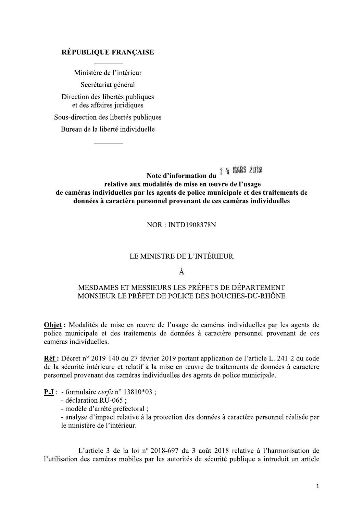#### RÉPUBLIQUE FRANÇAISE

Ministère de l'intérieur

Secrétariat général

Direction des libertés publiques et des affaires juridiques

Sous-direction des libertés publiques

Bureau de la liberté individuelle

Note d'information du 14 MARS 2019 relative aux modalités de mise en œuvre de l'usage de caméras individuelles par les agents de police municipale et des traitements de données à caractère personnel provenant de ces caméras individuelles

 $NOR \cdot NTT1908378N$ 

#### LE MINISTRE DE L'INTÉRIEUR

#### À

#### MESDAMES ET MESSIEURS LES PRÉFETS DE DÉPARTEMENT MONSIEUR LE PRÉFET DE POLICE DES BOUCHES-DU-RHÔNE

Objet : Modalités de mise en œuvre de l'usage de caméras individuelles par les agents de police municipale et des traitements de données à caractère personnel provenant de ces caméras individuelles.

Réf : Décret n° 2019-140 du 27 février 2019 portant application de l'article L. 241-2 du code de la sécurité intérieure et relatif à la mise en œuvre de traitements de données à caractère personnel provenant des caméras individuelles des agents de police municipale.

**P.J**: - formulaire *cerfa*  $n^{\circ}$  13810\*03 :

- déclaration RU-065 ;

- modèle d'arrêté préfectoral ;

- analyse d'impact relative à la protection des données à caractère personnel réalisée par le ministère de l'intérieur.

L'article 3 de la loi nº 2018-697 du 3 août 2018 relative à l'harmonisation de l'utilisation des caméras mobiles par les autorités de sécurité publique a introduit un article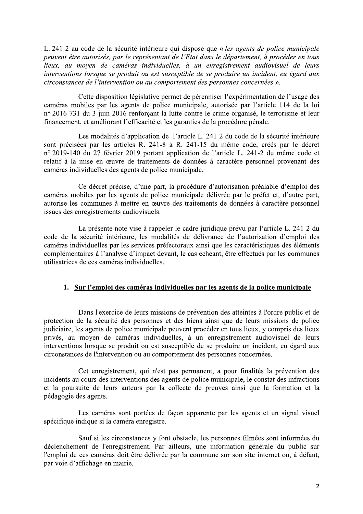L. 241-2 au code de la sécurité intérieure qui dispose que « les agents de police municipale peuvent être autorisés, par le représentant de l'Etat dans le département, à procéder en tous Iieux, au moven de caméras individuelles, à un enregistrement audiovisuel de leurs interventions lorsque se produit ou est susceptible de se produire un incident, eu égard aux circonstances de l'intervention ou au comportement des personnes concernées ».

Cette disposition législative permet de pérenniser l'expérimentation de l'usage des caméras mobiles par les agents de police municipale, autorisée par l'article 114 de la loi n° 2016-731 du 3 juin 2016 renforçant la lutte contre le crime organisé, le terrorisme et leur financement, et améliorant l'efficacité et les garanties de la procédure pénale.

Les modalités d'application de l'article L. 241-2 du code de la sécurité intérieure sont précisées par les articles R. 241-8 à R. 241-15 du même code, créés par le décret nº 2019-140 du 27 février 2019 portant application de l'article L. 241-2 du même code et relatif à la mise en œuvre de traitements de données à caractère personnel provenant des caméras individuelles des agents de police municipale.

Ce décret précise, d'une part, la procédure d'autorisation préalable d'emploi des caméras mobiles par les agents de police municipale délivrée par le préfet et, d'autre part, autorise les communes à mettre en œuvre des traitements de données à caractère personnel issues des enregistrements audiovisuels.

La présente note vise à rappeler le cadre juridique prévu par l'article L. 241-2 du code de la sécurité intérieure, les modalités de délivrance de l'autorisation d'emploi des caméras individuelles par les services préfectoraux ainsi que les caractéristiques des éléments complémentaires à l'analyse d'impact devant, le cas échéant, être effectués par les communes utilisatrices de ces caméras individuelles.

#### 1. Sur l'emploi des caméras individuelles par les agents de la police municipale

Dans l'exercice de leurs missions de prévention des atteintes à l'ordre public et de protection de la sécurité des personnes et des biens ainsi que de leurs missions de police judiciaire, les agents de police municipale peuvent procéder en tous lieux, y compris des lieux privés, au moven de caméras individuelles, à un enregistrement audiovisuel de leurs interventions lorsque se produit ou est susceptible de se produire un incident, eu égard aux circonstances de l'intervention ou au comportement des personnes concernées.

Cet enregistrement, qui n'est pas permanent, a pour finalités la prévention des incidents au cours des interventions des agents de police municipale, le constat des infractions et la poursuite de leurs auteurs par la collecte de preuves ainsi que la formation et la pédagogie des agents.

Les caméras sont portées de façon apparente par les agents et un signal visuel spécifique indique si la caméra enregistre.

Sauf si les circonstances y font obstacle, les personnes filmées sont informées du déclenchement de l'enregistrement. Par ailleurs, une information générale du public sur l'emploi de ces caméras doit être délivrée par la commune sur son site internet ou, à défaut, par voie d'affichage en mairie.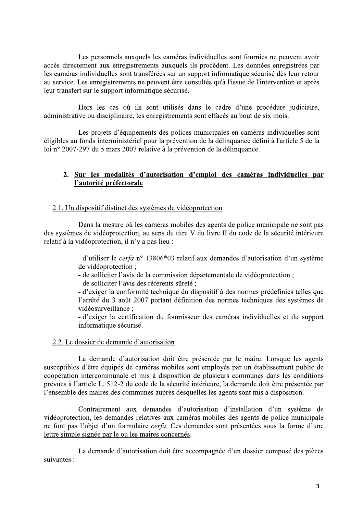Les personnels auxquels les caméras individuelles sont fournies ne peuvent avoir accès directement aux enregistrements auxquels ils procèdent. Les données enregistrées par les caméras individuelles sont transférées sur un support informatique sécurisé dès leur retour au service. Les enregistrements ne peuvent être consultés qu'à l'issue de l'intervention et après leur transfert sur le support informatique sécurisé.

Hors les cas où ils sont utilisés dans le cadre d'une procédure judiciaire, administrative ou disciplinaire, les enregistrements sont effacés au bout de six mois.

Les projets d'équipements des polices municipales en caméras individuelles sont éligibles au fonds interministériel pour la prévention de la délinquance défini à l'article 5 de la loi nº 2007-297 du 5 mars 2007 relative à la prévention de la délinquance.

#### 2. Sur les modalités d'autorisation d'emploi des caméras individuelles par l'autorité préfectorale

#### 2.1. Un dispositif distinct des systèmes de vidéoprotection

Dans la mesure où les caméras mobiles des agents de police municipale ne sont pas des systèmes de vidéoprotection, au sens du titre V du livre II du code de la sécurité intérieure relatif à la vidéoprotection, il n'y a pas lieu :

> - d'utiliser le cerfa n° 13806\*03 relatif aux demandes d'autorisation d'un système de vidéoprotection :

- de solliciter l'avis de la commission départementale de vidéoprotection;

- de solliciter l'avis des référents sûreté ;

- d'exiger la conformité technique du dispositif à des normes prédéfinies telles que l'arrêté du 3 août 2007 portant définition des normes techniques des systèmes de vidéosurveillance ;

- d'exiger la certification du fournisseur des caméras individuelles et du support informatique sécurisé.

#### 2.2. Le dossier de demande d'autorisation

La demande d'autorisation doit être présentée par le maire. Lorsque les agents susceptibles d'être équipés de caméras mobiles sont employés par un établissement public de coopération intercommunale et mis à disposition de plusieurs communes dans les conditions prévues à l'article L. 512-2 du code de la sécurité intérieure, la demande doit être présentée par l'ensemble des maires des communes auprès desquelles les agents sont mis à disposition.

Contrairement aux demandes d'autorisation d'installation d'un système de vidéoprotection, les demandes relatives aux caméras mobiles des agents de police municipale ne font pas l'objet d'un formulaire cerfa. Ces demandes sont présentées sous la forme d'une lettre simple signée par le ou les maires concernés.

La demande d'autorisation doit être accompagnée d'un dossier composé des pièces suivantes :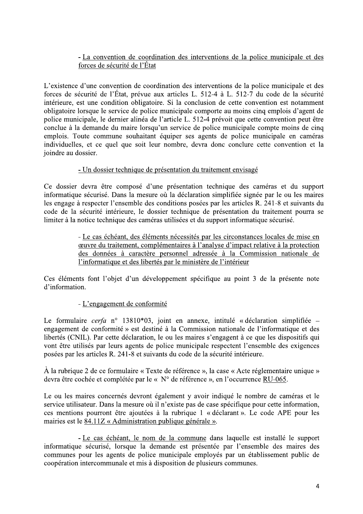#### - La convention de coordination des interventions de la police municipale et des forces de sécurité de l'État

L'existence d'une convention de coordination des interventions de la police municipale et des forces de sécurité de l'État, prévue aux articles L. 512-4 à L. 512-7 du code de la sécurité intérieure, est une condition obligatoire. Si la conclusion de cette convention est notamment obligatoire lorsque le service de police municipale comporte au moins cinq emplois d'agent de police municipale, le dernier alinéa de l'article L. 512-4 prévoit que cette convention peut être conclue à la demande du maire lorsqu'un service de police municipale compte moins de cinq emplois. Toute commune souhaitant équiper ses agents de police municipale en caméras individuelles, et ce quel que soit leur nombre, devra donc conclure cette convention et la joindre au dossier.

#### - Un dossier technique de présentation du traitement envisagé

Ce dossier devra être composé d'une présentation technique des caméras et du support informatique sécurisé. Dans la mesure où la déclaration simplifiée signée par le ou les maires les engage à respecter l'ensemble des conditions posées par les articles R. 241-8 et suivants du code de la sécurité intérieure, le dossier technique de présentation du traitement pourra se limiter à la notice technique des caméras utilisées et du support informatique sécurisé.

> - Le cas échéant, des éléments nécessités par les circonstances locales de mise en ceuvre du traitement, complémentaires à l'analyse d'impact relative à la protection des données à caractère personnel adressée à la Commission nationale de l'informatique et des libertés par le ministère de l'intérieur

Ces éléments font l'objet d'un développement spécifique au point 3 de la présente note d'information.

#### - L'engagement de conformité

Le formulaire cerfa n° 13810\*03, joint en annexe, intitulé « déclaration simplifiée – engagement de conformité » est destiné à la Commission nationale de l'informatique et des libertés (CNIL). Par cette déclaration, le ou les maires s'engagent à ce que les dispositifs qui vont être utilisés par leurs agents de police municipale respectent l'ensemble des exigences posées par les articles R. 241-8 et suivants du code de la sécurité intérieure.

À la rubrique 2 de ce formulaire « Texte de référence », la case « Acte réglementaire unique » devra être cochée et complétée par le « N° de référence », en l'occurrence RU-065.

Le ou les maires concernés devront également y avoir indiqué le nombre de caméras et le service utilisateur. Dans la mesure où il n'existe pas de case spécifique pour cette information, ces mentions pourront être ajoutées à la rubrique 1 « déclarant ». Le code APE pour les mairies est le 84.11Z « Administration publique générale ».

- Le cas échéant, le nom de la commune dans laquelle est installé le support informatique sécurisé, lorsque la demande est présentée par l'ensemble des maires des communes pour les agents de police municipale employés par un établissement public de coopération intercommunale et mis à disposition de plusieurs communes.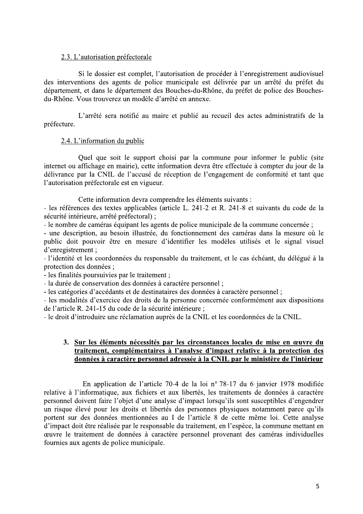#### 2.3. L'autorisation préfectorale

Si le dossier est complet, l'autorisation de procéder à l'enregistrement audiovisuel des interventions des agents de police municipale est délivrée par un arrêté du préfet du département, et dans le département des Bouches-du-Rhône, du préfet de police des Bouchesdu-Rhône. Vous trouverez un modèle d'arrêté en annexe.

L'arrêté sera notifié au maire et publié au recueil des actes administratifs de la préfecture.

#### 2.4. L'information du public

Quel que soit le support choisi par la commune pour informer le public (site internet ou affichage en mairie), cette information devra être effectuée à compter du jour de la délivrance par la CNIL de l'accusé de réception de l'engagement de conformité et tant que l'autorisation préfectorale est en vigueur.

Cette information devra comprendre les éléments suivants :

- les références des textes applicables (article L. 241-2 et R. 241-8 et suivants du code de la sécurité intérieure, arrêté préfectoral);

- le nombre de caméras équipant les agents de police municipale de la commune concernée ;

- une description, au besoin illustrée, du fonctionnement des caméras dans la mesure où le public doit pouvoir être en mesure d'identifier les modèles utilisés et le signal visuel d'enregistrement :

- l'identité et les coordonnées du responsable du traitement, et le cas échéant, du délégué à la protection des données ;

- les finalités poursuivies par le traitement ;

- la durée de conservation des données à caractère personnel ;

- les catégories d'accédants et de destinataires des données à caractère personnel;

- les modalités d'exercice des droits de la personne concernée conformément aux dispositions de l'article R. 241-15 du code de la sécurité intérieure ;

- le droit d'introduire une réclamation auprès de la CNIL et les coordonnées de la CNIL.

#### 3. Sur les éléments nécessités par les circonstances locales de mise en œuvre du traitement, complémentaires à l'analyse d'impact relative à la protection des données à caractère personnel adressée à la CNIL par le ministère de l'intérieur

En application de l'article 70-4 de la loi n° 78-17 du 6 janvier 1978 modifiée relative à l'informatique, aux fichiers et aux libertés, les traitements de données à caractère personnel doivent faire l'objet d'une analyse d'impact lorsqu'ils sont susceptibles d'engendrer un risque élevé pour les droits et libertés des personnes physiques notamment parce qu'ils portent sur des données mentionnées au I de l'article 8 de cette même loi. Cette analyse d'impact doit être réalisée par le responsable du traitement, en l'espèce, la commune mettant en œuvre le traitement de données à caractère personnel provenant des caméras individuelles fournies aux agents de police municipale.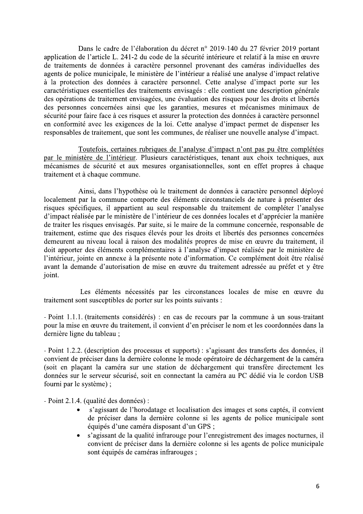Dans le cadre de l'élaboration du décret n° 2019-140 du 27 février 2019 portant application de l'article L. 241-2 du code de la sécurité intérieure et relatif à la mise en œuvre de traitements de données à caractère personnel provenant des caméras individuelles des agents de police municipale, le ministère de l'intérieur a réalisé une analyse d'impact relative à la protection des données à caractère personnel. Cette analyse d'impact porte sur les caractéristiques essentielles des traitements envisagés : elle contient une description générale des opérations de traitement envisagées, une évaluation des risques pour les droits et libertés des personnes concernées ainsi que les garanties, mesures et mécanismes minimaux de sécurité pour faire face à ces risques et assurer la protection des données à caractère personnel en conformité avec les exigences de la loi. Cette analyse d'impact permet de dispenser les responsables de traitement, que sont les communes, de réaliser une nouvelle analyse d'impact.

Toutefois, certaines rubriques de l'analyse d'impact n'ont pas pu être complétées par le ministère de l'intérieur. Plusieurs caractéristiques, tenant aux choix techniques, aux mécanismes de sécurité et aux mesures organisationnelles, sont en effet propres à chaque traitement et à chaque commune.

Ainsi, dans l'hypothèse où le traitement de données à caractère personnel déployé localement par la commune comporte des éléments circonstanciels de nature à présenter des risques spécifiques, il appartient au seul responsable du traitement de compléter l'analyse d'impact réalisée par le ministère de l'intérieur de ces données locales et d'apprécier la manière de traiter les risques envisagés. Par suite, si le maire de la commune concernée, responsable de traitement, estime que des risques élevés pour les droits et libertés des personnes concernées demeurent au niveau local à raison des modalités propres de mise en œuvre du traitement, il doit apporter des éléments complémentaires à l'analyse d'impact réalisée par le ministère de l'intérieur, jointe en annexe à la présente note d'information. Ce complément doit être réalisé avant la demande d'autorisation de mise en œuvre du traitement adressée au préfet et y être joint.

Les éléments nécessités par les circonstances locales de mise en œuvre du traitement sont susceptibles de porter sur les points suivants :

- Point 1.1.1. (traitements considérés) : en cas de recours par la commune à un sous-traitant pour la mise en œuvre du traitement, il convient d'en préciser le nom et les coordonnées dans la dernière ligne du tableau ;

- Point 1.2.2. (description des processus et supports) : s'agissant des transferts des données, il convient de préciser dans la dernière colonne le mode opératoire de déchargement de la caméra (soit en plaçant la caméra sur une station de déchargement qui transfère directement les données sur le serveur sécurisé, soit en connectant la caméra au PC dédié via le cordon USB fourni par le système) ;

- Point 2.1.4. (qualité des données) :

- s'agissant de l'horodatage et localisation des images et sons captés, il convient de préciser dans la dernière colonne si les agents de police municipale sont équipés d'une caméra disposant d'un GPS ;
- s'agissant de la qualité infrarouge pour l'enregistrement des images nocturnes, il convient de préciser dans la dernière colonne si les agents de police municipale sont équipés de caméras infrarouges :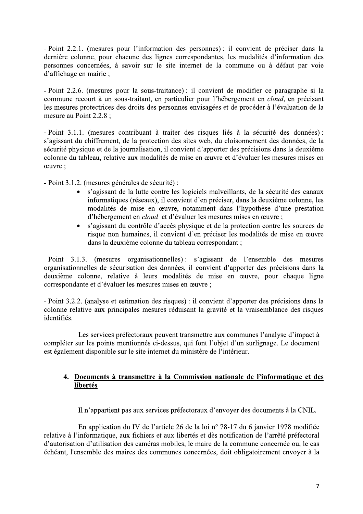- Point 2.2.1. (mesures pour l'information des personnes) : il convient de préciser dans la dernière colonne, pour chacune des lignes correspondantes, les modalités d'information des personnes concernées, à savoir sur le site internet de la commune ou à défaut par voie d'affichage en mairie;

- Point 2.2.6. (mesures pour la sous-traitance) : il convient de modifier ce paragraphe si la commune recourt à un sous-traitant, en particulier pour l'hébergement en *cloud*, en précisant les mesures protectrices des droits des personnes envisagées et de procéder à l'évaluation de la mesure au Point 2.2.8;

- Point 3.1.1. (mesures contribuant à traiter des risques liés à la sécurité des données) : s'agissant du chiffrement, de la protection des sites web, du cloisonnement des données, de la sécurité physique et de la journalisation, il convient d'apporter des précisions dans la deuxième colonne du tableau, relative aux modalités de mise en œuvre et d'évaluer les mesures mises en ceuvre:

- Point 3.1.2. (mesures générales de sécurité) :

- s'agissant de la lutte contre les logiciels malveillants, de la sécurité des canaux informatiques (réseaux), il convient d'en préciser, dans la deuxième colonne, les modalités de mise en œuvre, notamment dans l'hypothèse d'une prestation d'hébergement en *cloud* et d'évaluer les mesures mises en œuvre ;
- s'agissant du contrôle d'accès physique et de la protection contre les sources de risque non humaines, il convient d'en préciser les modalités de mise en œuvre dans la deuxième colonne du tableau correspondant ;

- Point 3.1.3. (mesures organisationnelles): s'agissant de l'ensemble des mesures organisationnelles de sécurisation des données, il convient d'apporter des précisions dans la deuxième colonne, relative à leurs modalités de mise en œuvre, pour chaque ligne correspondante et d'évaluer les mesures mises en œuvre :

- Point 3.2.2. (analyse et estimation des risques) : il convient d'apporter des précisions dans la colonne relative aux principales mesures réduisant la gravité et la vraisemblance des risques identifiés.

Les services préfectoraux peuvent transmettre aux communes l'analyse d'impact à compléter sur les points mentionnés ci-dessus, qui font l'objet d'un surlignage. Le document est également disponible sur le site internet du ministère de l'intérieur.

#### 4. Documents à transmettre à la Commission nationale de l'informatique et des libertés

Il n'appartient pas aux services préfectoraux d'envoyer des documents à la CNIL.

En application du IV de l'article 26 de la loi n° 78-17 du 6 janvier 1978 modifiée relative à l'informatique, aux fichiers et aux libertés et dès notification de l'arrêté préfectoral d'autorisation d'utilisation des caméras mobiles, le maire de la commune concernée ou, le cas échéant, l'ensemble des maires des communes concernées, doit obligatoirement envoyer à la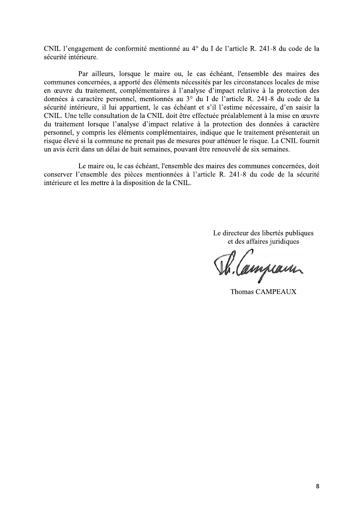CNIL l'engagement de conformité mentionné au 4<sup>°</sup> du I de l'article R. 241-8 du code de la sécurité intérieure.

Par ailleurs, lorsque le maire ou, le cas échéant, l'ensemble des maires des communes concernées, a apporté des éléments nécessités par les circonstances locales de mise en œuvre du traitement, complémentaires à l'analyse d'impact relative à la protection des données à caractère personnel, mentionnés au 3° du I de l'article R. 241-8 du code de la sécurité intérieure, il lui appartient, le cas échéant et s'il l'estime nécessaire, d'en saisir la CNIL. Une telle consultation de la CNIL doit être effectuée préalablement à la mise en œuvre du traitement lorsque l'analyse d'impact relative à la protection des données à caractère personnel, y compris les éléments complémentaires, indique que le traitement présenterait un risque élevé si la commune ne prenait pas de mesures pour atténuer le risque. La CNIL fournit un avis écrit dans un délai de huit semaines, pouvant être renouvelé de six semaines.

Le maire ou, le cas échéant, l'ensemble des maires des communes concernées, doit conserver l'ensemble des pièces mentionnées à l'article R. 241-8 du code de la sécurité intérieure et les mettre à la disposition de la CNIL.

> Le directeur des libertés publiques et des affaires juridiques

R. Campiann

**Thomas CAMPEAUX**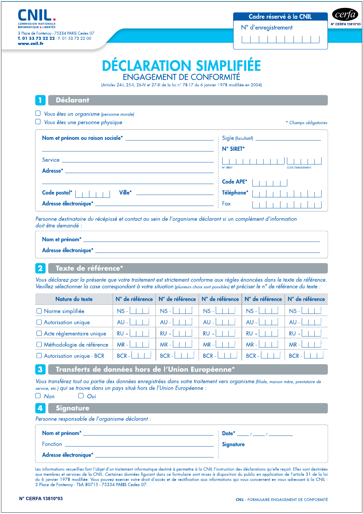3 Place de Fontenov - 75334 PARIS Cedex 07 T. 01 53 73 22 22 - F. 01 53 73 22 00 www.cnil.fr

N° d'enregistrement

 $\mathbf{1}$ 

cer N° CERFA 13810\*03

# **DÉCLARATION SIMPLIFIÉE ENGAGEMENT DE CONFORMITÉ**

(Articles 24-1, 25-11, 26-IV et 27-III de la loi n° 78-17 du 6 janvier 1978 modifiée en 2004)

#### **Déclarant**

□ Vous êtes un organisme (personne morale)

 $\Box$  Vous êtes une personne physique

\* Champs obligatoires

| Service <b>Service</b> in the service of the service of the service of the service of the service of the service of the service of the service of the service of the service of the service of the service of the service of the se | N° SIRET*<br>$(1 + 1 + 1 + 1)$<br><b>CODE ÉTABLISSEMENT</b><br>N° SIREN |
|-------------------------------------------------------------------------------------------------------------------------------------------------------------------------------------------------------------------------------------|-------------------------------------------------------------------------|
| Adresse*<br>Ville* <b>William Strategies</b><br>Code postal*  <br>Adresse électronique*                                                                                                                                             | Code APE*<br>$\frac{1}{2}$ Téléphone*<br>$\vdots$ Fax                   |

Personne destinataire du récépissé et contact au sein de l'organisme déclarant si un complément d'information doit être demandé :

| Nom et prénom*        |  |
|-----------------------|--|
| Adresse électronique* |  |

#### $\overline{\mathbf{2}}$ Texte de référence\*

Vous déclarez par la présente que votre traitement est strictement conforme aux règles énoncées dans le texte de référence. Veuillez sélectionner la case correspondant à votre situation (plusieurs choix sont possibles) et préciser le n° de référence du texte :

| Nature du texte             | N° de référence | $\mid$ N° de référence $\mid$ N° de référence $\mid$ |                           | N° de référence   | N° de référence |
|-----------------------------|-----------------|------------------------------------------------------|---------------------------|-------------------|-----------------|
| $\Box$ Norme simplifiée     | $NS - 1$        | $NS - 1$                                             | $NS -$                    | $\overline{NS}$ - | $NS - 1$        |
| Autorisation unique         | $AU -$          | $AU -$                                               | a al<br>$AU -$<br>$\Box$  | $AU -$            | $AU -$          |
| Acte réglementaire unique   | $RU - 11$       | $-1$<br>$RU -$                                       | $RU - I$                  | $RU -$            | $RU - 1$        |
| □ Méthodologie de référence | $MR -   +  $    | $\sim$ 1 $\sim$ 1 $\sim$<br>$MR - 1$                 | $MR -$                    | $MR - I$          | $MR - 111$      |
| Autorisation unique - BCR   | $BCR - 11$      | $BCR -$                                              | $BCR - \perp \perp \perp$ | $BCR -$           | $BCR -$         |

Transferts de données hors de l'Union Européenne\*

Vous transférez tout ou partie des données enregistrées dans votre traitement vers organisme (filiale, maison mère, prestataire de service, etc.) qui se trouve dans un pays situé hors de l'Union Européenne :

#### 4 **Signature**

Personne responsable de l'organisme déclarant :

| Nom et prénom <sup>*</sup> | $\therefore$ Date <sup>*</sup><br>$\frac{1}{2}$ $\frac{1}{2}$ $\frac{1}{2}$ $\frac{1}{2}$ $\frac{1}{2}$ $\frac{1}{2}$ $\frac{1}{2}$ $\frac{1}{2}$ $\frac{1}{2}$ $\frac{1}{2}$ $\frac{1}{2}$ $\frac{1}{2}$ $\frac{1}{2}$ $\frac{1}{2}$ $\frac{1}{2}$ $\frac{1}{2}$ $\frac{1}{2}$ $\frac{1}{2}$ $\frac{1}{2}$ $\frac{1}{2}$ $\frac{1}{2}$ $\frac{1}{2}$ |
|----------------------------|-------------------------------------------------------------------------------------------------------------------------------------------------------------------------------------------------------------------------------------------------------------------------------------------------------------------------------------------------------|
| Fonction                   | $\frac{1}{2}$ Signature                                                                                                                                                                                                                                                                                                                               |
| Adresse électronique*      |                                                                                                                                                                                                                                                                                                                                                       |

Les informations recueillies font l'objet d'un traitement informatique destiné à permettre à la CNIL l'instruction des déclarations qu'elle reçoit. Elles sont destinées aux membres et services de la CNIL. Certaines données figurant dans ce formulaire sont mises à disposition du public en application de l'article 31 de la loi du 6 janvier 1978 modifiée. Vous pouvez exercer votre droit d'accès et de rectification aux informations qui vous concernent en vous adressant à la CNIL : 3 Place de Fontenoy - TSA 80715 - 75334 PARIS Cedex 07.

 $\mathbf{3}$ 

 $\Box$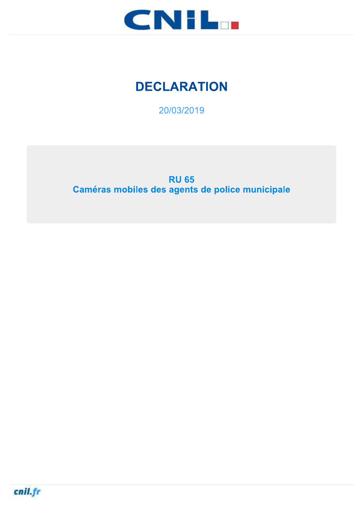

# **DECLARATION**

20/03/2019

**RU 65** Caméras mobiles des agents de police municipale

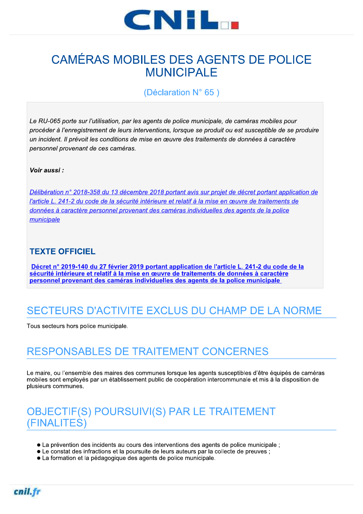

# **CAMÉRAS MOBILES DES AGENTS DE POLICE MUNICIPALE**

(Déclaration N° 65)

Le RU-065 porte sur l'utilisation, par les agents de police municipale, de caméras mobiles pour procéder à l'enregistrement de leurs interventions, lorsque se produit ou est susceptible de se produire un incident. Il prévoit les conditions de mise en œuvre des traitements de données à caractère personnel provenant de ces caméras.

#### Voir aussi:

Délibération n° 2018-358 du 13 décembre 2018 portant avis sur projet de décret portant application de l'article L. 241-2 du code de la sécurité intérieure et relatif à la mise en œuvre de traitements de données à caractère personnel provenant des caméras individuelles des agents de la police municipale

#### **TEXTE OFFICIEL**

Décret n° 2019-140 du 27 février 2019 portant application de l'article L. 241-2 du code de la sécurité intérieure et relatif à la mise en œuvre de traitements de données à caractère personnel provenant des caméras individuelles des agents de la police municipale

# SECTEURS D'ACTIVITE EXCLUS DU CHAMP DE LA NORME

Tous secteurs hors police municipale.

# RESPONSABLES DE TRAITEMENT CONCERNES

Le maire, ou l'ensemble des maires des communes lorsque les agents susceptibles d'être équipés de caméras mobiles sont employés par un établissement public de coopération intercommunale et mis à la disposition de plusieurs communes.

# **OBJECTIF(S) POURSUIVI(S) PAR LE TRAITEMENT** (FINALITES)

- La prévention des incidents au cours des interventions des agents de police municipale :
- Le constat des infractions et la poursuite de leurs auteurs par la collecte de preuves ;
- La formation et la pédagogique des agents de police municipale.

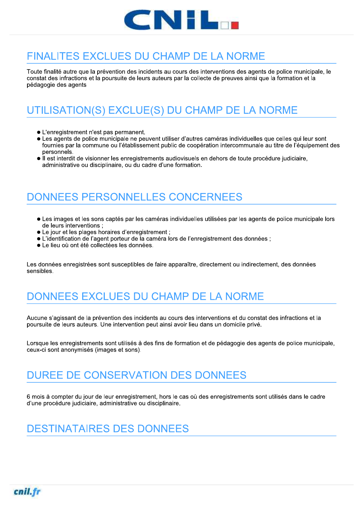

# **FINALITES EXCLUES DU CHAMP DE LA NORME**

Toute finalité autre que la prévention des incidents au cours des interventions des agents de police municipale, le constat des infractions et la poursuite de leurs auteurs par la collecte de preuves ainsi que la formation et la pédagogie des agents

# UTILISATION(S) EXCLUE(S) DU CHAMP DE LA NORME

- L'enregistrement n'est pas permanent.
- Les agents de police municipale ne peuvent utiliser d'autres caméras individuelles que celles qui leur sont fournies par la commune ou l'établissement public de coopération intercommunale au titre de l'équipement des personnels.
- Il est interdit de visionner les enregistrements audiovisuels en dehors de toute procédure judiciaire, administrative ou disciplinaire, ou du cadre d'une formation.

# DONNEES PERSONNELLES CONCERNEES

- Les images et les sons captés par les caméras individuelles utilisées par les agents de police municipale lors de leurs interventions ;
- Le jour et les plages horaires d'enregistrement ;
- L'identification de l'agent porteur de la caméra lors de l'enregistrement des données ;
- Le lieu où ont été collectées les données.

Les données enregistrées sont susceptibles de faire apparaître, directement ou indirectement, des données sensibles.

# DONNEES EXCLUES DU CHAMP DE LA NORME

Aucune s'agissant de la prévention des incidents au cours des interventions et du constat des infractions et la poursuite de leurs auteurs. Une intervention peut ainsi avoir lieu dans un domicile privé.

Lorsque les enregistrements sont utilisés à des fins de formation et de pédagogie des agents de police municipale, ceux-ci sont anonymisés (images et sons).

# DUREE DE CONSERVATION DES DONNEES

6 mois à compter du jour de leur enregistrement, hors le cas où des enregistrements sont utilisés dans le cadre d'une procédure judiciaire, administrative ou disciplinaire.

# **DESTINATAIRES DES DONNEES**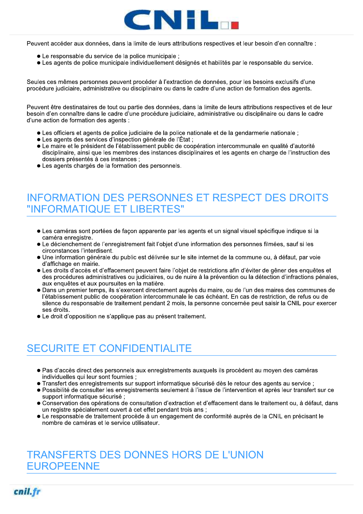

Peuvent accéder aux données, dans la limite de leurs attributions respectives et leur besoin d'en connaître :

- Le responsable du service de la police municipale ;
- Les agents de police municipale individuellement désignés et habilités par le responsable du service.

Seules ces mêmes personnes peuvent procéder à l'extraction de données, pour les besoins exclusifs d'une procédure judiciaire, administrative ou disciplinaire ou dans le cadre d'une action de formation des agents.

Peuvent être destinataires de tout ou partie des données, dans la limite de leurs attributions respectives et de leur besoin d'en connaître dans le cadre d'une procédure judiciaire, administrative ou disciplinaire ou dans le cadre d'une action de formation des agents :

- Les officiers et agents de police judiciaire de la police nationale et de la gendarmerie nationale ;
- Les agents des services d'inspection générale de l'État ;
- Le maire et le président de l'établissement public de coopération intercommunale en qualité d'autorité disciplinaire, ainsi que les membres des instances disciplinaires et les agents en charge de l'instruction des dossiers présentés à ces instances ;
- Les agents chargés de la formation des personnels.

# **INFORMATION DES PERSONNES ET RESPECT DES DROITS** "INFORMATIQUE ET LIBERTES"

- Les caméras sont portées de facon apparente par les agents et un signal visuel spécifique indique si la caméra enregistre.
- Le déclenchement de l'enregistrement fait l'objet d'une information des personnes filmées, sauf si les circonstances l'interdisent.
- · Une information générale du public est délivrée sur le site internet de la commune ou, à défaut, par voie d'affichage en mairie.
- Les droits d'accès et d'effacement peuvent faire l'objet de restrictions afin d'éviter de gêner des enquêtes et des procédures administratives ou judiciaires, ou de nuire à la prévention ou la détection d'infractions pénales, aux enquêtes et aux poursuites en la matière.
- Dans un premier temps, ils s'exercent directement auprès du maire, ou de l'un des maires des communes de l'établissement public de coopération intercommunale le cas échéant. En cas de restriction, de refus ou de silence du responsable de traitement pendant 2 mois, la personne concernée peut saisir la CNIL pour exercer ses droits.
- Le droit d'opposition ne s'applique pas au présent traitement.

# **SECURITE ET CONFIDENTIALITE**

- Pas d'accès direct des personnels aux enregistrements auxquels ils procèdent au moyen des caméras individuelles qui leur sont fournies ;
- · Transfert des enregistrements sur support informatique sécurisé dès le retour des agents au service ;
- Possibilité de consulter les enregistrements seulement à l'issue de l'intervention et après leur transfert sur ce support informatique sécurisé ;
- Conservation des opérations de consultation d'extraction et d'effacement dans le traitement ou, à défaut, dans un registre spécialement ouvert à cet effet pendant trois ans ;
- Le responsable de traitement procède à un engagement de conformité auprès de la CNIL en précisant le nombre de caméras et le service utilisateur.

# **TRANSFERTS DES DONNES HORS DE L'UNION EUROPEENNE**

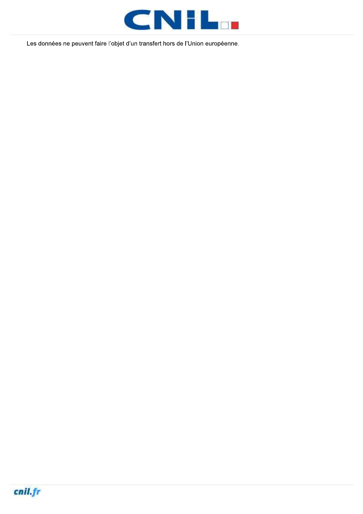

Les données ne peuvent faire l'objet d'un transfert hors de l'Union européenne.

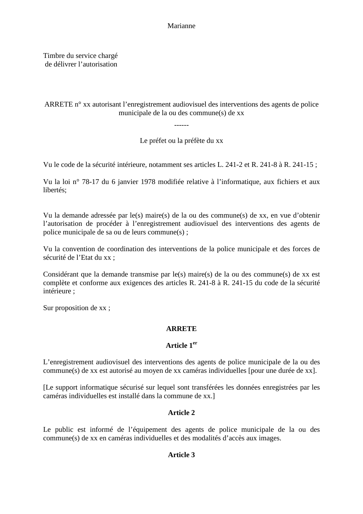Marianne

Timbre du service chargé de délivrer l'autorisation

ARRETE n° xx autorisant l'enregistrement audiovisuel des interventions des agents de police municipale de la ou des commune(s) de xx

Le préfet ou la préfète du xx

------

Vu le code de la sécurité intérieure, notamment ses articles L. 241-2 et R. 241-8 à R. 241-15 ;

Vu la loi n° 78-17 du 6 janvier 1978 modifiée relative à l'informatique, aux fichiers et aux libertés;

Vu la demande adressée par le(s) maire(s) de la ou des commune(s) de xx, en vue d'obtenir l'autorisation de procéder à l'enregistrement audiovisuel des interventions des agents de police municipale de sa ou de leurs commune(s) ;

Vu la convention de coordination des interventions de la police municipale et des forces de sécurité de l'Etat du xx ;

Considérant que la demande transmise par le(s) maire(s) de la ou des commune(s) de xx est complète et conforme aux exigences des articles R. 241-8 à R. 241-15 du code de la sécurité intérieure ;

Sur proposition de xx ;

#### **ARRETE**

#### **Article 1er**

L'enregistrement audiovisuel des interventions des agents de police municipale de la ou des commune(s) de xx est autorisé au moyen de xx caméras individuelles [pour une durée de xx].

[Le support informatique sécurisé sur lequel sont transférées les données enregistrées par les caméras individuelles est installé dans la commune de xx.]

#### **Article 2**

Le public est informé de l'équipement des agents de police municipale de la ou des commune(s) de xx en caméras individuelles et des modalités d'accès aux images.

#### **Article 3**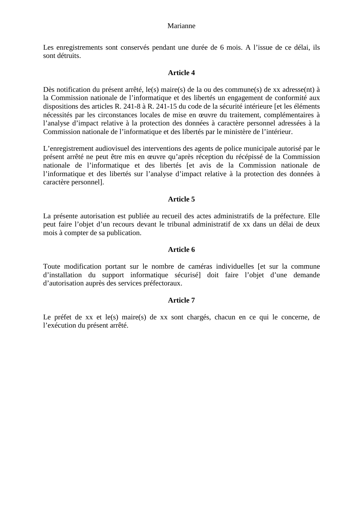#### Marianne

Les enregistrements sont conservés pendant une durée de 6 mois. A l'issue de ce délai, ils sont détruits.

#### **Article 4**

Dès notification du présent arrêté, le(s) maire(s) de la ou des commune(s) de xx adresse(nt) à la Commission nationale de l'informatique et des libertés un engagement de conformité aux dispositions des articles R. 241-8 à R. 241-15 du code de la sécurité intérieure [et les éléments nécessités par les circonstances locales de mise en œuvre du traitement, complémentaires à l'analyse d'impact relative à la protection des données à caractère personnel adressées à la Commission nationale de l'informatique et des libertés par le ministère de l'intérieur.

L'enregistrement audiovisuel des interventions des agents de police municipale autorisé par le présent arrêté ne peut être mis en œuvre qu'après réception du récépissé de la Commission nationale de l'informatique et des libertés [et avis de la Commission nationale de l'informatique et des libertés sur l'analyse d'impact relative à la protection des données à caractère personnel].

#### **Article 5**

La présente autorisation est publiée au recueil des actes administratifs de la préfecture. Elle peut faire l'objet d'un recours devant le tribunal administratif de xx dans un délai de deux mois à compter de sa publication.

#### **Article 6**

Toute modification portant sur le nombre de caméras individuelles [et sur la commune d'installation du support informatique sécurisé] doit faire l'objet d'une demande d'autorisation auprès des services préfectoraux.

#### **Article 7**

Le préfet de xx et le(s) maire(s) de xx sont chargés, chacun en ce qui le concerne, de l'exécution du présent arrêté.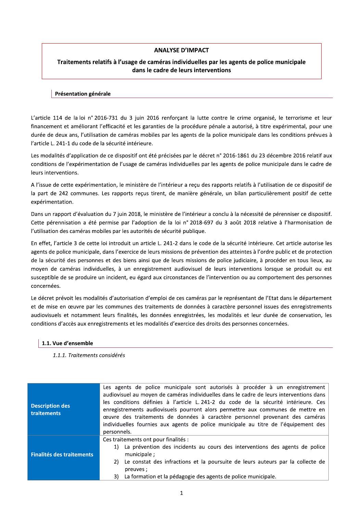#### **ANALYSE D'IMPACT**

#### Traitements relatifs à l'usage de caméras individuelles par les agents de police municipale dans le cadre de leurs interventions

#### Présentation générale

L'article 114 de la loi n° 2016-731 du 3 juin 2016 renforçant la lutte contre le crime organisé, le terrorisme et leur financement et améliorant l'efficacité et les garanties de la procédure pénale a autorisé, à titre expérimental, pour une durée de deux ans, l'utilisation de caméras mobiles par les agents de la police municipale dans les conditions prévues à l'article L. 241-1 du code de la sécurité intérieure.

Les modalités d'application de ce dispositif ont été précisées par le décret n° 2016-1861 du 23 décembre 2016 relatif aux conditions de l'expérimentation de l'usage de caméras individuelles par les agents de police municipale dans le cadre de leurs interventions.

A l'issue de cette expérimentation, le ministère de l'intérieur a reçu des rapports relatifs à l'utilisation de ce dispositif de la part de 242 communes. Les rapports reçus tirent, de manière générale, un bilan particulièrement positif de cette expérimentation.

Dans un rapport d'évaluation du 7 juin 2018, le ministère de l'intérieur a conclu à la nécessité de pérenniser ce dispositif. Cette pérennisation a été permise par l'adoption de la loi n° 2018-697 du 3 août 2018 relative à l'harmonisation de l'utilisation des caméras mobiles par les autorités de sécurité publique.

En effet, l'article 3 de cette loi introduit un article L. 241-2 dans le code de la sécurité intérieure. Cet article autorise les agents de police municipale, dans l'exercice de leurs missions de prévention des atteintes à l'ordre public et de protection de la sécurité des personnes et des biens ainsi que de leurs missions de police judiciaire, à procéder en tous lieux, au moyen de caméras individuelles, à un enregistrement audiovisuel de leurs interventions lorsque se produit ou est susceptible de se produire un incident, eu égard aux circonstances de l'intervention ou au comportement des personnes concernées.

Le décret prévoit les modalités d'autorisation d'emploi de ces caméras par le représentant de l'Etat dans le département et de mise en œuvre par les communes des traitements de données à caractère personnel issues des enregistrements audiovisuels et notamment leurs finalités, les données enregistrées, les modalités et leur durée de conservation, les conditions d'accès aux enregistrements et les modalités d'exercice des droits des personnes concernées.

#### 1.1. Vue d'ensemble

1.1.1. Traitements considérés

| <b>Description des</b><br><b>traitements</b> | Les agents de police municipale sont autorisés à procéder à un enregistrement<br>audiovisuel au moyen de caméras individuelles dans le cadre de leurs interventions dans<br>les conditions définies à l'article L. 241-2 du code de la sécurité intérieure. Ces<br>enregistrements audiovisuels pourront alors permettre aux communes de mettre en<br>œuvre des traitements de données à caractère personnel provenant des caméras<br>individuelles fournies aux agents de police municipale au titre de l'équipement des<br>personnels. |  |  |
|----------------------------------------------|------------------------------------------------------------------------------------------------------------------------------------------------------------------------------------------------------------------------------------------------------------------------------------------------------------------------------------------------------------------------------------------------------------------------------------------------------------------------------------------------------------------------------------------|--|--|
| <b>Finalités des traitements</b>             | Ces traitements ont pour finalités :<br>1) La prévention des incidents au cours des interventions des agents de police<br>municipale;<br>2) Le constat des infractions et la poursuite de leurs auteurs par la collecte de<br>preuves;<br>3) La formation et la pédagogie des agents de police municipale.                                                                                                                                                                                                                               |  |  |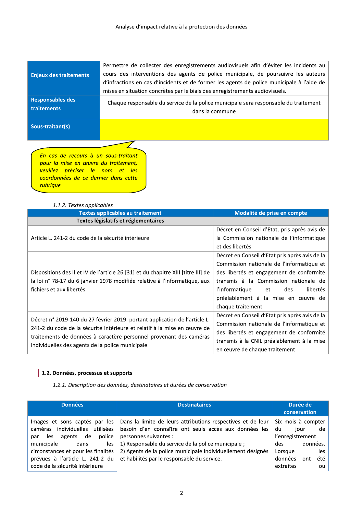| <b>Enjeux des traitements</b>                 | Permettre de collecter des enregistrements audiovisuels afin d'éviter les incidents au<br>cours des interventions des agents de police municipale, de poursuivre les auteurs<br>d'infractions en cas d'incidents et de former les agents de police municipale à l'aide de |
|-----------------------------------------------|---------------------------------------------------------------------------------------------------------------------------------------------------------------------------------------------------------------------------------------------------------------------------|
| <b>Responsables des</b><br><b>traitements</b> | mises en situation concrètes par le biais des enregistrements audiovisuels.<br>Chaque responsable du service de la police municipale sera responsable du traitement<br>dans la commune                                                                                    |
| Sous-traitant(s)                              |                                                                                                                                                                                                                                                                           |

En cas de recours à un sous-traitant pour la mise en œuvre du traitement, veuillez préciser le nom et les coordonnées de ce dernier dans cette rubrique

#### 1.1.2. Textes applicables

| 1.1.2. Textes applicables<br><b>Textes applicables au traitement</b>                                                                                                                                                                                                            | Modalité de prise en compte                                                                                                                                                                                                                                                             |
|---------------------------------------------------------------------------------------------------------------------------------------------------------------------------------------------------------------------------------------------------------------------------------|-----------------------------------------------------------------------------------------------------------------------------------------------------------------------------------------------------------------------------------------------------------------------------------------|
| Textes législatifs et réglementaires                                                                                                                                                                                                                                            |                                                                                                                                                                                                                                                                                         |
| Article L. 241-2 du code de la sécurité intérieure                                                                                                                                                                                                                              | Décret en Conseil d'Etat, pris après avis de<br>la Commission nationale de l'informatique<br>et des libertés                                                                                                                                                                            |
| Dispositions des II et IV de l'article 26 [31] et du chapitre XIII [titre III] de<br>la loi n° 78-17 du 6 janvier 1978 modifiée relative à l'informatique, aux<br>fichiers et aux libertés.                                                                                     | Décret en Conseil d'Etat pris après avis de la<br>Commission nationale de l'informatique et<br>des libertés et engagement de conformité<br>transmis à la Commission nationale de<br>l'informatique<br>libertés<br>des<br>et<br>préalablement à la mise en œuvre de<br>chaque traitement |
| Décret n° 2019-140 du 27 février 2019 portant application de l'article L.<br>241-2 du code de la sécurité intérieure et relatif à la mise en œuvre de<br>traitements de données à caractère personnel provenant des caméras<br>individuelles des agents de la police municipale | Décret en Conseil d'Etat pris après avis de la<br>Commission nationale de l'informatique et<br>des libertés et engagement de conformité<br>transmis à la CNIL préalablement à la mise<br>en œuvre de chaque traitement                                                                  |

#### 1.2. Données, processus et supports

1.2.1. Description des données, destinataires et durées de conservation

| <b>Données</b>                                                                                                                                                                                                                                        | <b>Destinataires</b>                                                                                                                                                                                                                                                                                              | conservation                                                                           | Durée de                |                        |
|-------------------------------------------------------------------------------------------------------------------------------------------------------------------------------------------------------------------------------------------------------|-------------------------------------------------------------------------------------------------------------------------------------------------------------------------------------------------------------------------------------------------------------------------------------------------------------------|----------------------------------------------------------------------------------------|-------------------------|------------------------|
| Images et sons captés par les<br>utilisées<br>individuelles<br>caméras<br>police<br>agents de<br>les.<br>par<br>municipale<br>dans<br>les<br>circonstances et pour les finalités<br>prévues à l'article L. 241-2 du<br>code de la sécurité intérieure | Dans la limite de leurs attributions respectives et de leur<br>besoin d'en connaître ont seuls accès aux données les<br>personnes suivantes :<br>1) Responsable du service de la police municipale;<br>2) Agents de la police municipale individuellement désignés<br>et habilités par le responsable du service. | Six mois à compter<br>du<br>l'enregistrement<br>des<br>Lorsque<br>données<br>extraites | iour<br>données.<br>ont | de<br>les<br>été<br>ou |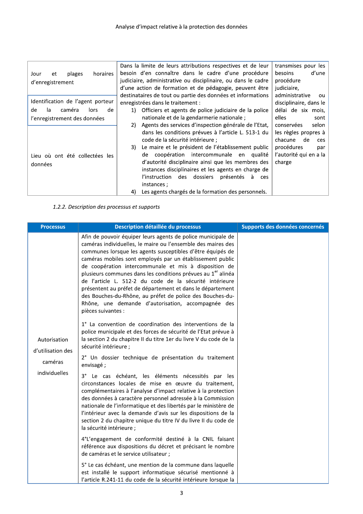| horaires<br>plages<br>et<br>Jour  | Dans la limite de leurs attributions respectives et de leur<br>besoin d'en connaître dans le cadre d'une procédure | transmises pour les<br>besoins<br>d'une |
|-----------------------------------|--------------------------------------------------------------------------------------------------------------------|-----------------------------------------|
| d'enregistrement                  | judiciaire, administrative ou disciplinaire, ou dans le cadre                                                      | procédure                               |
|                                   | d'une action de formation et de pédagogie, peuvent être                                                            | judiciaire,                             |
|                                   | destinataires de tout ou partie des données et informations                                                        | administrative<br>ou                    |
| Identification de l'agent porteur | enregistrées dans le traitement :                                                                                  | disciplinaire, dans le                  |
| de<br>caméra<br>de<br>la<br>lors  | Officiers et agents de police judiciaire de la police<br>1)                                                        | délai de six mois.                      |
| l'enregistrement des données      | nationale et de la gendarmerie nationale;                                                                          | elles<br>sont                           |
|                                   | Agents des services d'inspection générale de l'Etat,<br>2)                                                         | selon<br>conservées                     |
|                                   | dans les conditions prévues à l'article L. 513-1 du                                                                | les règles propres à                    |
|                                   | code de la sécurité intérieure :                                                                                   | chacune<br>de<br>ces                    |
|                                   | Le maire et le président de l'établissement public<br>3)                                                           | procédures<br>par                       |
| Lieu où ont été collectées les    | coopération intercommunale en qualité<br>de                                                                        | l'autorité qui en a la                  |
| données                           | d'autorité disciplinaire ainsi que les membres des                                                                 | charge                                  |
|                                   | instances disciplinaires et les agents en charge de                                                                |                                         |
|                                   | l'instruction des dossiers<br>présentés<br>à<br>ces                                                                |                                         |
|                                   | instances:                                                                                                         |                                         |
|                                   | Les agents chargés de la formation des personnels.<br>4)                                                           |                                         |

#### 1.2.2. Description des processus et supports

| <b>Processus</b>                  | Description détaillée du processus                                                                                                                                                                                                                                                                                                                                                                                                                                                                                                                                                                                                                             | Supports des données concernés |
|-----------------------------------|----------------------------------------------------------------------------------------------------------------------------------------------------------------------------------------------------------------------------------------------------------------------------------------------------------------------------------------------------------------------------------------------------------------------------------------------------------------------------------------------------------------------------------------------------------------------------------------------------------------------------------------------------------------|--------------------------------|
|                                   | Afin de pouvoir équiper leurs agents de police municipale de<br>caméras individuelles, le maire ou l'ensemble des maires des<br>communes lorsque les agents susceptibles d'être équipés de<br>caméras mobiles sont employés par un établissement public<br>de coopération intercommunale et mis à disposition de<br>plusieurs communes dans les conditions prévues au 1 <sup>er</sup> alinéa<br>de l'article L. 512-2 du code de la sécurité intérieure<br>présentent au préfet de département et dans le département<br>des Bouches-du-Rhône, au préfet de police des Bouches-du-<br>Rhône, une demande d'autorisation, accompagnée des<br>pièces suivantes : |                                |
| Autorisation<br>d'utilisation des | 1° La convention de coordination des interventions de la<br>police municipale et des forces de sécurité de l'Etat prévue à<br>la section 2 du chapitre II du titre 1er du livre V du code de la<br>sécurité intérieure ;<br>2° Un dossier technique de présentation du traitement                                                                                                                                                                                                                                                                                                                                                                              |                                |
| caméras                           | envisagé;                                                                                                                                                                                                                                                                                                                                                                                                                                                                                                                                                                                                                                                      |                                |
| individuelles                     | $3^\circ$<br>Le cas échéant, les éléments nécessités par les<br>circonstances locales de mise en œuvre du traitement,<br>complémentaires à l'analyse d'impact relative à la protection<br>des données à caractère personnel adressée à la Commission<br>nationale de l'informatique et des libertés par le ministère de<br>l'intérieur avec la demande d'avis sur les dispositions de la<br>section 2 du chapitre unique du titre IV du livre II du code de<br>la sécurité intérieure ;                                                                                                                                                                        |                                |
|                                   | 4°L'engagement de conformité destiné à la CNIL faisant<br>référence aux dispositions du décret et précisant le nombre<br>de caméras et le service utilisateur ;                                                                                                                                                                                                                                                                                                                                                                                                                                                                                                |                                |
|                                   | 5° Le cas échéant, une mention de la commune dans laquelle<br>est installé le support informatique sécurisé mentionné à<br>l'article R.241-11 du code de la sécurité intérieure lorsque la                                                                                                                                                                                                                                                                                                                                                                                                                                                                     |                                |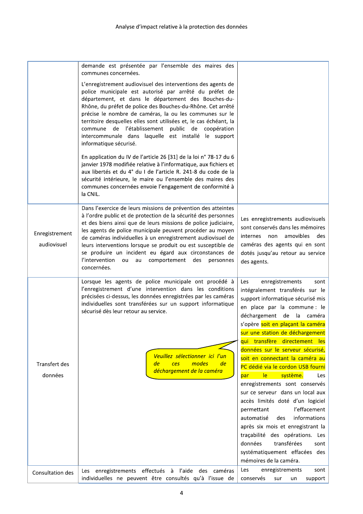|                               | demande est présentée par l'ensemble des maires des<br>communes concernées.                                                                                                                                                                                                                                                                                                                                                                                                                                                                                                             |                                                                                                                                                                                                                                                                                                                     |
|-------------------------------|-----------------------------------------------------------------------------------------------------------------------------------------------------------------------------------------------------------------------------------------------------------------------------------------------------------------------------------------------------------------------------------------------------------------------------------------------------------------------------------------------------------------------------------------------------------------------------------------|---------------------------------------------------------------------------------------------------------------------------------------------------------------------------------------------------------------------------------------------------------------------------------------------------------------------|
|                               | L'enregistrement audiovisuel des interventions des agents de<br>police municipale est autorisé par arrêté du préfet de<br>département, et dans le département des Bouches-du-<br>Rhône, du préfet de police des Bouches-du-Rhône. Cet arrêté<br>précise le nombre de caméras, la ou les communes sur le<br>territoire desquelles elles sont utilisées et, le cas échéant, la<br>commune de l'établissement public de coopération<br>intercommunale dans laquelle est installé le support<br>informatique sécurisé.<br>En application du IV de l'article 26 [31] de la loi n° 78-17 du 6 |                                                                                                                                                                                                                                                                                                                     |
|                               | janvier 1978 modifiée relative à l'informatique, aux fichiers et<br>aux libertés et du 4° du I de l'article R. 241-8 du code de la<br>sécurité intérieure, le maire ou l'ensemble des maires des<br>communes concernées envoie l'engagement de conformité à<br>la CNIL.                                                                                                                                                                                                                                                                                                                 |                                                                                                                                                                                                                                                                                                                     |
| Enregistrement<br>audiovisuel | Dans l'exercice de leurs missions de prévention des atteintes<br>à l'ordre public et de protection de la sécurité des personnes<br>et des biens ainsi que de leurs missions de police judiciaire,<br>les agents de police municipale peuvent procéder au moyen<br>de caméras individuelles à un enregistrement audiovisuel de<br>leurs interventions lorsque se produit ou est susceptible de<br>se produire un incident eu égard aux circonstances de<br>l'intervention<br>au comportement<br>ou<br>des<br>personnes<br>concernées.                                                    | Les enregistrements audiovisuels<br>sont conservés dans les mémoires<br>amovibles<br>des<br>internes non<br>caméras des agents qui en sont<br>dotés jusqu'au retour au service<br>des agents.                                                                                                                       |
|                               | Lorsque les agents de police municipale ont procédé à<br>l'enregistrement d'une intervention dans les conditions<br>précisées ci-dessus, les données enregistrées par les caméras<br>individuelles sont transférées sur un support informatique<br>sécurisé dès leur retour au service.                                                                                                                                                                                                                                                                                                 | enregistrements<br>Les<br>sont<br>intégralement transférés sur le<br>support informatique sécurisé mis<br>en place par la commune : le<br>déchargement de la caméra<br>s'opère soit en plaçant la caméra<br>sur une station de déchargement<br>qui transfère<br>directement les<br>données sur le serveur sécurisé, |
|                               | Veuillez sélectionner ici l'un                                                                                                                                                                                                                                                                                                                                                                                                                                                                                                                                                          | soit en connectant la caméra au                                                                                                                                                                                                                                                                                     |
| Transfert des<br>données      | modes<br>de<br>ces<br>de<br>déchargement de la caméra                                                                                                                                                                                                                                                                                                                                                                                                                                                                                                                                   | PC dédié via le cordon USB fourni<br> e <br>système.<br>par<br>Les                                                                                                                                                                                                                                                  |
|                               |                                                                                                                                                                                                                                                                                                                                                                                                                                                                                                                                                                                         | enregistrements sont conservés                                                                                                                                                                                                                                                                                      |
|                               |                                                                                                                                                                                                                                                                                                                                                                                                                                                                                                                                                                                         | sur ce serveur dans un local aux<br>accès limités doté d'un logiciel                                                                                                                                                                                                                                                |
|                               |                                                                                                                                                                                                                                                                                                                                                                                                                                                                                                                                                                                         | l'effacement<br>permettant                                                                                                                                                                                                                                                                                          |
|                               |                                                                                                                                                                                                                                                                                                                                                                                                                                                                                                                                                                                         | informations<br>automatisé<br>des<br>après six mois et enregistrant la                                                                                                                                                                                                                                              |
|                               |                                                                                                                                                                                                                                                                                                                                                                                                                                                                                                                                                                                         | traçabilité des opérations. Les                                                                                                                                                                                                                                                                                     |
|                               |                                                                                                                                                                                                                                                                                                                                                                                                                                                                                                                                                                                         | données<br>transférées<br>sont<br>systématiquement effacées des                                                                                                                                                                                                                                                     |
|                               |                                                                                                                                                                                                                                                                                                                                                                                                                                                                                                                                                                                         | mémoires de la caméra.                                                                                                                                                                                                                                                                                              |
| Consultation des              | enregistrements effectués à l'aide des caméras<br>Les<br>individuelles ne peuvent être consultés qu'à l'issue de                                                                                                                                                                                                                                                                                                                                                                                                                                                                        | enregistrements<br><b>Les</b><br>sont<br>conservés<br>support<br>sur<br>un                                                                                                                                                                                                                                          |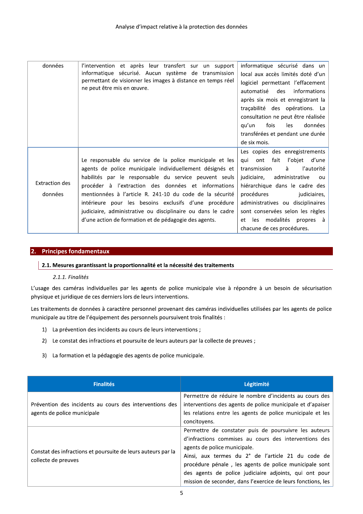| données                          | l'intervention et après leur transfert sur un support<br>informatique sécurisé. Aucun système de transmission<br>permettant de visionner les images à distance en temps réel<br>ne peut être mis en œuvre.                                                                                                                                                                                                                                                                         | informatique sécurisé dans un<br>local aux accès limités doté d'un<br>logiciel permettant l'effacement<br>automatisé des informations<br>après six mois et enregistrant la<br>traçabilité des opérations. La<br>consultation ne peut être réalisée<br>fois<br>données<br>qu'un<br>les<br>transférées et pendant une durée<br>de six mois.   |
|----------------------------------|------------------------------------------------------------------------------------------------------------------------------------------------------------------------------------------------------------------------------------------------------------------------------------------------------------------------------------------------------------------------------------------------------------------------------------------------------------------------------------|---------------------------------------------------------------------------------------------------------------------------------------------------------------------------------------------------------------------------------------------------------------------------------------------------------------------------------------------|
| <b>Extraction des</b><br>données | Le responsable du service de la police municipale et les<br>agents de police municipale individuellement désignés et<br>habilités par le responsable du service peuvent seuls<br>procéder à l'extraction des données et informations<br>mentionnées à l'article R. 241-10 du code de la sécurité<br>intérieure pour les besoins exclusifs d'une procédure<br>judiciaire, administrative ou disciplinaire ou dans le cadre<br>d'une action de formation et de pédagogie des agents. | Les copies des enregistrements<br>qui ont fait<br>l'objet d'une<br>à<br>l'autorité<br>transmission<br>judiciaire, administrative<br>ou<br>hiérarchique dans le cadre des<br>procédures<br>judiciaires,<br>administratives ou disciplinaires<br>sont conservées selon les règles<br>et les modalités propres à<br>chacune de ces procédures. |

#### 2. Principes fondamentaux

#### 2.1. Mesures garantissant la proportionnalité et la nécessité des traitements

#### 2.1.1. Finalités

L'usage des caméras individuelles par les agents de police municipale vise à répondre à un besoin de sécurisation physique et juridique de ces derniers lors de leurs interventions.

Les traitements de données à caractère personnel provenant des caméras individuelles utilisées par les agents de police municipale au titre de l'équipement des personnels poursuivent trois finalités :

- 1) La prévention des incidents au cours de leurs interventions ;
- 2) Le constat des infractions et poursuite de leurs auteurs par la collecte de preuves ;
- 3) La formation et la pédagogie des agents de police municipale.

| <b>Finalités</b>                                                                       | Légitimité                                                                                                                                                                                                                                                                                                                                                                               |
|----------------------------------------------------------------------------------------|------------------------------------------------------------------------------------------------------------------------------------------------------------------------------------------------------------------------------------------------------------------------------------------------------------------------------------------------------------------------------------------|
| Prévention des incidents au cours des interventions des<br>agents de police municipale | Permettre de réduire le nombre d'incidents au cours des<br>interventions des agents de police municipale et d'apaiser<br>les relations entre les agents de police municipale et les<br>concitoyens.                                                                                                                                                                                      |
| Constat des infractions et poursuite de leurs auteurs par la<br>collecte de preuves    | Permettre de constater puis de poursuivre les auteurs<br>d'infractions commises au cours des interventions des<br>agents de police municipale.<br>Ainsi, aux termes du 2° de l'article 21 du code de<br>procédure pénale, les agents de police municipale sont<br>des agents de police judiciaire adjoints, qui ont pour<br>mission de seconder, dans l'exercice de leurs fonctions, les |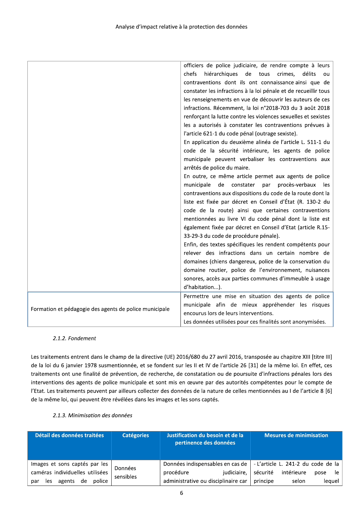|                                                        | officiers de police judiciaire, de rendre compte à leurs        |
|--------------------------------------------------------|-----------------------------------------------------------------|
|                                                        | chefs<br>hiérarchiques<br>de<br>crimes,<br>délits<br>tous<br>ou |
|                                                        | contraventions dont ils ont connaissance ainsi que de           |
|                                                        | constater les infractions à la loi pénale et de recueillir tous |
|                                                        | les renseignements en vue de découvrir les auteurs de ces       |
|                                                        | infractions. Récemment, la loi n°2018-703 du 3 août 2018        |
|                                                        | renforçant la lutte contre les violences sexuelles et sexistes  |
|                                                        | les a autorisés à constater les contraventions prévues à        |
|                                                        | l'article 621-1 du code pénal (outrage sexiste).                |
|                                                        | En application du deuxième alinéa de l'article L. 511-1 du      |
|                                                        | code de la sécurité intérieure, les agents de police            |
|                                                        | municipale peuvent verbaliser les contraventions aux            |
|                                                        | arrêtés de police du maire.                                     |
|                                                        | En outre, ce même article permet aux agents de police           |
|                                                        | municipale<br>de<br>constater<br>procès-verbaux<br>par<br>les   |
|                                                        | contraventions aux dispositions du code de la route dont la     |
|                                                        | liste est fixée par décret en Conseil d'État (R. 130-2 du       |
|                                                        | code de la route) ainsi que certaines contraventions            |
|                                                        | mentionnées au livre VI du code pénal dont la liste est         |
|                                                        | également fixée par décret en Conseil d'Etat (article R.15-     |
|                                                        | 33-29-3 du code de procédure pénale).                           |
|                                                        | Enfin, des textes spécifiques les rendent compétents pour       |
|                                                        | relever des infractions dans un certain nombre de               |
|                                                        | domaines (chiens dangereux, police de la conservation du        |
|                                                        | domaine routier, police de l'environnement, nuisances           |
|                                                        | sonores, accès aux parties communes d'immeuble à usage          |
|                                                        | d'habitation).                                                  |
|                                                        | Permettre une mise en situation des agents de police            |
| Formation et pédagogie des agents de police municipale | municipale afin de mieux appréhender les risques                |
|                                                        | encourus lors de leurs interventions.                           |
|                                                        | Les données utilisées pour ces finalités sont anonymisées.      |

#### 2.1.2. Fondement

Les traitements entrent dans le champ de la directive (UE) 2016/680 du 27 avril 2016, transposée au chapitre XIII [titre III] de la loi du 6 janvier 1978 susmentionnée, et se fondent sur les II et IV de l'article 26 [31] de la même loi. En effet, ces traitements ont une finalité de prévention, de recherche, de constatation ou de poursuite d'infractions pénales lors des interventions des agents de police municipale et sont mis en œuvre par des autorités compétentes pour le compte de l'Etat. Les traitements peuvent par ailleurs collecter des données de la nature de celles mentionnées au I de l'article 8 [6] de la même loi, qui peuvent être révélées dans les images et les sons captés.

#### 2.1.3. Minimisation des données

| Détail des données traitées     | <b>Catégories</b> | Justification du besoin et de la<br>pertinence des données | Mesures de minimisation                                               |
|---------------------------------|-------------------|------------------------------------------------------------|-----------------------------------------------------------------------|
| Images et sons captés par les   | Données           |                                                            | Données indispensables en cas de   - L'article L. 241-2 du code de la |
| caméras individuelles utilisées | sensibles         | judiciaire,<br>procédure                                   | sécurité<br>intérieure<br>pose le                                     |
| agents de police<br>par<br>les  |                   | administrative ou disciplinaire car                        | principe<br>leauel<br>selon                                           |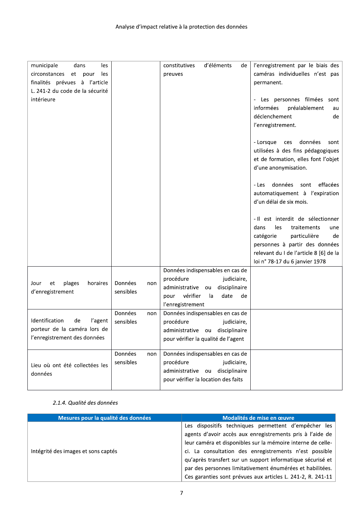| municipale<br>dans<br>les<br>circonstances et pour<br>les<br>finalités prévues à l'article<br>L. 241-2 du code de la sécurité<br>intérieure |                             | constitutives<br>d'éléments<br>de<br>preuves                                                                                                                      | l'enregistrement par le biais des<br>caméras individuelles n'est pas<br>permanent.<br>- Les personnes filmées sont<br>informées<br>préalablement<br>au                                                                  |
|---------------------------------------------------------------------------------------------------------------------------------------------|-----------------------------|-------------------------------------------------------------------------------------------------------------------------------------------------------------------|-------------------------------------------------------------------------------------------------------------------------------------------------------------------------------------------------------------------------|
|                                                                                                                                             |                             |                                                                                                                                                                   | déclenchement<br>de<br>l'enregistrement.                                                                                                                                                                                |
|                                                                                                                                             |                             |                                                                                                                                                                   | données<br>- Lorsque<br>ces<br>sont<br>utilisées à des fins pédagogiques<br>et de formation, elles font l'objet<br>d'une anonymisation.                                                                                 |
|                                                                                                                                             |                             |                                                                                                                                                                   | données<br>effacées<br>- Les<br>sont<br>automatiquement à l'expiration<br>d'un délai de six mois.                                                                                                                       |
|                                                                                                                                             |                             |                                                                                                                                                                   | - Il est interdit de sélectionner<br>les<br>traitements<br>dans<br>une<br>catégorie<br>particulière<br>de<br>personnes à partir des données<br>relevant du I de l'article 8 [6] de la<br>loi n° 78-17 du 6 janvier 1978 |
| plages<br>horaires<br>Jour<br>et<br>d'enregistrement                                                                                        | Données<br>non<br>sensibles | Données indispensables en cas de<br>procédure<br>judiciaire,<br>administrative<br>disciplinaire<br>ou<br>vérifier<br>date<br>la<br>pour<br>de<br>l'enregistrement |                                                                                                                                                                                                                         |
| Identification<br>de<br>l'agent<br>porteur de la caméra lors de<br>l'enregistrement des données                                             | Données<br>non<br>sensibles | Données indispensables en cas de<br>procédure<br>judiciaire,<br>administrative ou disciplinaire<br>pour vérifier la qualité de l'agent                            |                                                                                                                                                                                                                         |
| Lieu où ont été collectées les<br>données                                                                                                   | Données<br>non<br>sensibles | Données indispensables en cas de<br>procédure<br>judiciaire,<br>administrative ou disciplinaire<br>pour vérifier la location des faits                            |                                                                                                                                                                                                                         |

#### 2.1.4. Qualité des données

| Mesures pour la qualité des données | Modalités de mise en œuvre                                  |
|-------------------------------------|-------------------------------------------------------------|
|                                     | Les dispositifs techniques permettent d'empêcher les        |
|                                     | agents d'avoir accès aux enregistrements pris à l'aide de   |
|                                     | leur caméra et disponibles sur la mémoire interne de celle- |
| Intégrité des images et sons captés | ci. La consultation des enregistrements n'est possible      |
|                                     | qu'après transfert sur un support informatique sécurisé et  |
|                                     | par des personnes limitativement énumérées et habilitées.   |
|                                     | Ces garanties sont prévues aux articles L. 241-2, R. 241-11 |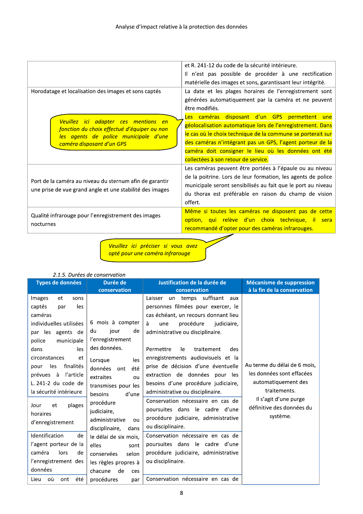|                                                                  | et R. 241-12 du code de la sécurité intérieure.              |
|------------------------------------------------------------------|--------------------------------------------------------------|
|                                                                  | Il n'est pas possible de procéder à une rectification        |
|                                                                  | matérielle des images et sons, garantissant leur intégrité.  |
| Horodatage et localisation des images et sons captés             | La date et les plages horaires de l'enregistrement sont      |
|                                                                  | générées automatiquement par la caméra et ne peuvent         |
|                                                                  | être modifiés.                                               |
| Veuillez ici adapter ces mentions en                             | Les caméras disposant d'un GPS permettent une                |
| fonction du choix effectué d'équiper ou non                      | géolocalisation automatique lors de l'enregistrement. Dans   |
| les agents de police municipale d'une                            | le cas où le choix technique de la commune se porterait sur  |
| caméra disposant d'un GPS                                        | des caméras n'intégrant pas un GPS, l'agent porteur de la    |
|                                                                  | caméra doit consigner le lieu où les données ont été         |
|                                                                  | collectées à son retour de service.                          |
|                                                                  | Les caméras peuvent être portées à l'épaule ou au niveau     |
| Port de la caméra au niveau du sternum afin de garantir          | de la poitrine. Lors de leur formation, les agents de police |
|                                                                  | municipale seront sensibilisés au fait que le port au niveau |
| une prise de vue grand angle et une stabilité des images         | du thorax est préférable en raison du champ de vision        |
|                                                                  | offert.                                                      |
|                                                                  | Même si toutes les caméras ne disposent pas de cette         |
| Qualité infrarouge pour l'enregistrement des images<br>nocturnes | option, qui relève d'un choix technique, il sera             |
|                                                                  | recommandé d'opter pour des caméras infrarouges.             |
|                                                                  |                                                              |

Veuillez ici préciser si vous avez<br>optéppourune.caméra.infrarouge

#### 2.1.5. Durées de conservation

| Types de données                                                                                                                                                                                  | Durée de<br>conservation                                                                                                                                                  | Justification de la durée de<br>conservation                                                                                                                                                                                                                                                                                                                      | Mécanisme de suppression<br>à la fin de la conservation                                                                                                            |
|---------------------------------------------------------------------------------------------------------------------------------------------------------------------------------------------------|---------------------------------------------------------------------------------------------------------------------------------------------------------------------------|-------------------------------------------------------------------------------------------------------------------------------------------------------------------------------------------------------------------------------------------------------------------------------------------------------------------------------------------------------------------|--------------------------------------------------------------------------------------------------------------------------------------------------------------------|
| Images<br>sons<br>et<br>captés<br>les<br>par<br>caméras<br>individuelles utilisées<br>par les agents de<br>police<br>municipale                                                                   | 6 mois à compter<br>du<br>jour<br>de<br>l'enregistrement                                                                                                                  | un temps suffisant<br>Laisser<br>aux<br>personnes filmées pour exercer, le<br>cas échéant, un recours donnant lieu<br>à<br>procédure<br>judiciaire,<br>une<br>administrative ou disciplinaire.                                                                                                                                                                    |                                                                                                                                                                    |
| dans<br>les<br>circonstances<br>et<br>finalités<br>les<br>pour<br>prévues à<br>l'article<br>L. 241-2 du code de<br>la sécurité intérieure<br>plages<br>Jour<br>et<br>horaires<br>d'enregistrement | des données.<br>Lorsque<br>les<br>données<br>été<br>ont<br>extraites<br>ou<br>transmises pour les<br>d'une<br>besoins<br>procédure<br>judiciaire,<br>administrative<br>ou | le<br>Permettre<br>traitement<br>des<br>enregistrements audiovisuels et la<br>prise de décision d'une éventuelle<br>extraction de données pour les<br>besoins d'une procédure judiciaire,<br>administrative ou disciplinaire.<br>Conservation nécessaire en cas de<br>poursuites dans le cadre d'une<br>procédure judiciaire, administrative<br>ou disciplinaire. | Au terme du délai de 6 mois,<br>les données sont effacées<br>automatiquement des<br>traitements.<br>Il s'agit d'une purge<br>définitive des données du<br>système. |
| Identification<br>de<br>l'agent porteur de la<br>caméra<br>lors<br>de<br>l'enregistrement des<br>données<br>оù<br>été<br>Lieu<br>ont                                                              | disciplinaire,<br>dans<br>le délai de six mois,<br>elles<br>sont<br>conservées<br>selon<br>les règles propres à<br>chacune<br>de<br>ces<br>procédures<br>par              | Conservation nécessaire en cas de<br>poursuites dans le cadre d'une<br>procédure judiciaire, administrative<br>ou disciplinaire.<br>Conservation nécessaire en cas de                                                                                                                                                                                             |                                                                                                                                                                    |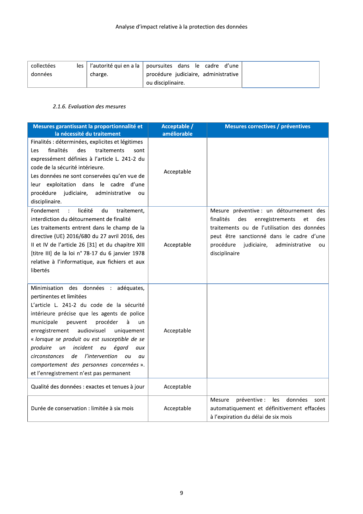| collectées |         | les   l'autorité qui en a la   poursuites dans le cadre d'une |  |
|------------|---------|---------------------------------------------------------------|--|
| données    | charge. | procédure judiciaire, administrative                          |  |
|            |         | ou disciplinaire.                                             |  |

#### 2.1.6. Evaluation des mesures

| Mesures garantissant la proportionnalité et<br>la nécessité du traitement                                                                                                                                                                                                                                                                                                                                                                                                                                           | Acceptable /<br>améliorable | Mesures correctives / préventives                                                                                                                                                                                                                           |
|---------------------------------------------------------------------------------------------------------------------------------------------------------------------------------------------------------------------------------------------------------------------------------------------------------------------------------------------------------------------------------------------------------------------------------------------------------------------------------------------------------------------|-----------------------------|-------------------------------------------------------------------------------------------------------------------------------------------------------------------------------------------------------------------------------------------------------------|
| Finalités : déterminées, explicites et légitimes<br>finalités<br>des<br>traitements<br>Les<br>sont<br>expressément définies à l'article L. 241-2 du<br>code de la sécurité intérieure.<br>Les données ne sont conservées qu'en vue de<br>exploitation dans le cadre d'une<br>leur<br>judiciaire,<br>procédure<br>administrative<br>ou<br>disciplinaire.                                                                                                                                                             | Acceptable                  |                                                                                                                                                                                                                                                             |
| Fondement<br>licéité<br>du<br>traitement,<br>$\ddot{\cdot}$<br>interdiction du détournement de finalité<br>Les traitements entrent dans le champ de la<br>directive (UE) 2016/680 du 27 avril 2016, des<br>Il et IV de l'article 26 [31] et du chapitre XIII<br>[titre III] de la loi n° 78-17 du 6 janvier 1978<br>relative à l'informatique, aux fichiers et aux<br>libertés                                                                                                                                      | Acceptable                  | Mesure préventive : un détournement des<br>finalités<br>des<br>enregistrements<br>des<br>et<br>traitements ou de l'utilisation des données<br>peut être sanctionné dans le cadre d'une<br>procédure<br>judiciaire,<br>administrative<br>ou<br>disciplinaire |
| Minimisation des données : adéquates,<br>pertinentes et limitées<br>L'article L. 241-2 du code de la sécurité<br>intérieure précise que les agents de police<br>municipale<br>peuvent<br>procéder<br>à<br>un<br>audiovisuel<br>enregistrement<br>uniquement<br>« lorsque se produit ou est susceptible de se<br>produire<br>incident<br>égard<br>eu<br>un<br>aux<br><i>l'intervention</i><br>circonstances<br>de<br>ou<br>au<br>comportement des personnes concernées ».<br>et l'enregistrement n'est pas permanent | Acceptable                  |                                                                                                                                                                                                                                                             |
| Qualité des données : exactes et tenues à jour                                                                                                                                                                                                                                                                                                                                                                                                                                                                      | Acceptable                  |                                                                                                                                                                                                                                                             |
| Durée de conservation : limitée à six mois                                                                                                                                                                                                                                                                                                                                                                                                                                                                          | Acceptable                  | données<br>préventive :<br>les<br>Mesure<br>sont<br>automatiquement et définitivement effacées<br>à l'expiration du délai de six mois                                                                                                                       |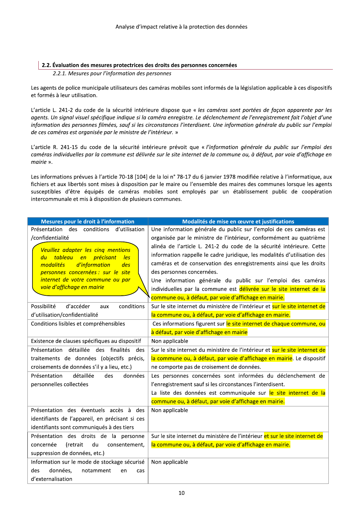#### 2.2. Évaluation des mesures protectrices des droits des personnes concernées

2.2.1. Mesures pour l'information des personnes

Les agents de police municipale utilisateurs des caméras mobiles sont informés de la législation applicable à ces dispositifs et formés à leur utilisation.

L'article L. 241-2 du code de la sécurité intérieure dispose que « les caméras sont portées de façon apparente par les agents. Un signal visuel spécifique indique si la caméra enregistre. Le déclenchement de l'enregistrement fait l'objet d'une information des personnes filmées, sauf si les circonstances l'interdisent. Une information générale du public sur l'emploi de ces caméras est organisée par le ministre de l'intérieur. »

L'article R. 241-15 du code de la sécurité intérieure prévoit que « l'information générale du public sur l'emploi des caméras individuelles par la commune est délivrée sur le site internet de la commune ou, à défaut, par voie d'affichage en mairie ».

Les informations prévues à l'article 70-18 [104] de la loi n° 78-17 du 6 janvier 1978 modifiée relative à l'informatique, aux fichiers et aux libertés sont mises à disposition par le maire ou l'ensemble des maires des communes lorsque les agents susceptibles d'être équipés de caméras mobiles sont employés par un établissement public de coopération intercommunale et mis à disposition de plusieurs communes.

| Mesures pour le droit à l'information           | Modalités de mise en œuvre et justifications                                |
|-------------------------------------------------|-----------------------------------------------------------------------------|
| Présentation des conditions d'utilisation       | Une information générale du public sur l'emploi de ces caméras est          |
| /confidentialité                                | organisée par le ministre de l'intérieur, conformément au quatrième         |
| Veuillez adapter les cinq mentions              | alinéa de l'article L. 241-2 du code de la sécurité intérieure. Cette       |
| du tableau en<br><i>précisant</i><br>les        | information rappelle le cadre juridique, les modalités d'utilisation des    |
| d'information<br>modalités<br>des               | caméras et de conservation des enregistrements ainsi que les droits         |
| personnes concernées : sur le site              | des personnes concernées.                                                   |
| internet de votre commune ou par                | Une information générale du public sur l'emploi des caméras                 |
| voie d'affichage en mairie                      | individuelles par la commune est délivrée sur le site internet de la        |
|                                                 | commune ou, à défaut, par voie d'affichage en mairie.                       |
| Possibilité<br>conditions<br>d'accéder<br>aux   | Sur le site internet du ministère de l'intérieur et sur le site internet de |
| d'utilisation/confidentialité                   | la commune ou, à défaut, par voie d'affichage en mairie.                    |
| Conditions lisibles et compréhensibles          | Ces informations figurent sur le site internet de chaque commune, ou        |
|                                                 | à défaut, par voie d'affichage en mairie                                    |
| Existence de clauses spécifiques au dispositif  | Non applicable                                                              |
| Présentation détaillée des finalités des        | Sur le site internet du ministère de l'intérieur et sur le site internet de |
| traitements de données (objectifs précis,       | la commune ou, à défaut, par voie d'affichage en mairie. Le dispositif      |
| croisements de données s'il y a lieu, etc.)     | ne comporte pas de croisement de données.                                   |
| détaillée<br>Présentation<br>données<br>des     | Les personnes concernées sont informées du déclenchement de                 |
| personnelles collectées                         | l'enregistrement sauf si les circonstances l'interdisent.                   |
|                                                 | La liste des données est communiquée sur le site internet de la             |
|                                                 | commune ou, à défaut, par voie d'affichage en mairie.                       |
| Présentation des éventuels accès à des          | Non applicable                                                              |
| identifiants de l'appareil, en précisant si ces |                                                                             |
| identifiants sont communiqués à des tiers       |                                                                             |
| Présentation des droits de la personne          | Sur le site internet du ministère de l'intérieur et sur le site internet de |
| (retrait<br>du<br>concernée<br>consentement,    | la commune ou, à défaut, par voie d'affichage en mairie.                    |
| suppression de données, etc.)                   |                                                                             |
| Information sur le mode de stockage sécurisé    | Non applicable                                                              |
| données,<br>des<br>notamment<br>en<br>cas       |                                                                             |
| d'externalisation                               |                                                                             |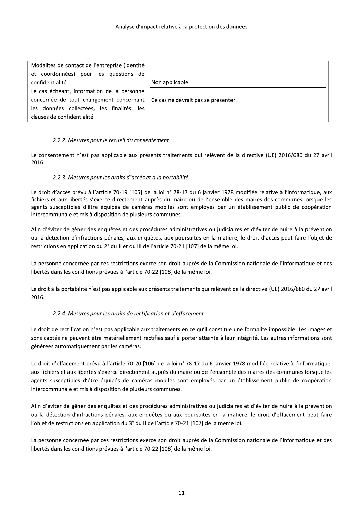| Modalités de contact de l'entreprise (identité |                                     |
|------------------------------------------------|-------------------------------------|
| et coordonnées) pour les questions de          |                                     |
| confidentialité                                | Non applicable                      |
| Le cas échéant, information de la personne     |                                     |
| concernée de tout changement concernant        | Ce cas ne devrait pas se présenter. |
| les données collectées, les finalités, les     |                                     |
| clauses de confidentialité                     |                                     |

#### 2.2.2. Mesures pour le recueil du consentement

Le consentement n'est pas applicable aux présents traitements qui relèvent de la directive (UE) 2016/680 du 27 avril 2016.

#### 2.2.3. Mesures pour les droits d'accès et à la portabilité

Le droit d'accès prévu à l'article 70-19 [105] de la loi n° 78-17 du 6 janvier 1978 modifiée relative à l'informatique, aux fichiers et aux libertés s'exerce directement auprès du maire ou de l'ensemble des maires des communes lorsque les agents susceptibles d'être équipés de caméras mobiles sont employés par un établissement public de coopération intercommunale et mis à disposition de plusieurs communes.

Afin d'éviter de gêner des enquêtes et des procédures administratives ou judiciaires et d'éviter de nuire à la prévention ou la détection d'infractions pénales, aux enquêtes, aux poursuites en la matière, le droit d'accès peut faire l'objet de restrictions en application du 2° du II et du III de l'article 70-21 [107] de la même loi.

La personne concernée par ces restrictions exerce son droit auprès de la Commission nationale de l'informatique et des libertés dans les conditions prévues à l'article 70-22 [108] de la même loi.

Le droit à la portabilité n'est pas applicable aux présents traitements qui relèvent de la directive (UE) 2016/680 du 27 avril 2016.

#### 2.2.4. Mesures pour les droits de rectification et d'effacement

Le droit de rectification n'est pas applicable aux traitements en ce qu'il constitue une formalité impossible. Les images et sons captés ne peuvent être matériellement rectifiés sauf à porter atteinte à leur intégrité. Les autres informations sont générées automatiquement par les caméras.

Le droit d'effacement prévu à l'article 70-20 [106] de la loi n° 78-17 du 6 janvier 1978 modifiée relative à l'informatique, aux fichiers et aux libertés s'exerce directement auprès du maire ou de l'ensemble des maires des communes lorsque les agents susceptibles d'être équipés de caméras mobiles sont employés par un établissement public de coopération intercommunale et mis à disposition de plusieurs communes.

Afin d'éviter de gêner des enquêtes et des procédures administratives ou judiciaires et d'éviter de nuire à la prévention ou la détection d'infractions pénales, aux enquêtes ou aux poursuites en la matière, le droit d'effacement peut faire l'objet de restrictions en application du 3° du II de l'article 70-21 [107] de la même loi.

La personne concernée par ces restrictions exerce son droit auprès de la Commission nationale de l'informatique et des libertés dans les conditions prévues à l'article 70-22 [108] de la même loi.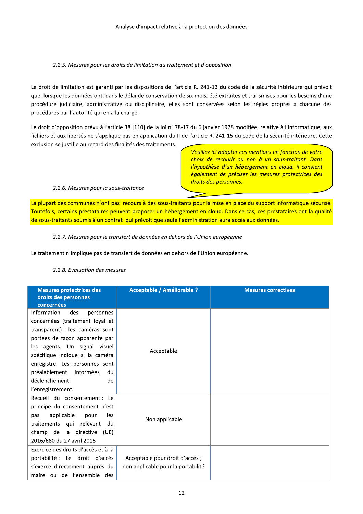#### 2.2.5. Mesures pour les droits de limitation du traitement et d'opposition

Le droit de limitation est garanti par les dispositions de l'article R. 241-13 du code de la sécurité intérieure qui prévoit que, lorsque les données ont, dans le délai de conservation de six mois, été extraites et transmises pour les besoins d'une procédure judiciaire, administrative ou disciplinaire, elles sont conservées selon les règles propres à chacune des procédures par l'autorité qui en a la charge.

Le droit d'opposition prévu à l'article 38 [110] de la loi n° 78-17 du 6 janvier 1978 modifiée, relative à l'informatique, aux fichiers et aux libertés ne s'applique pas en application du II de l'article R. 241-15 du code de la sécurité intérieure. Cette exclusion se justifie au regard des finalités des traitements.

> Veuillez ici adapter ces mentions en fonction de votre choix de recourir ou non à un sous-traitant. Dans l'hypothèse d'un hébergement en cloud, il convient également de préciser les mesures protectrices des droits des personnes.

#### 2.2.6. Mesures pour la sous-traitance

La plupart des communes n'ont pas recours à des sous-traitants pour la mise en place du support informatique sécurisé. Toutefois, certains prestataires peuvent proposer un hébergement en cloud. Dans ce cas, ces prestataires ont la qualité de sous-traitants soumis à un contrat qui prévoit que seule l'administration aura accès aux données.

#### 2.2.7. Mesures pour le transfert de données en dehors de l'Union européenne

Le traitement n'implique pas de transfert de données en dehors de l'Union européenne.

| <b>Mesures protectrices des</b><br>droits des personnes | <b>Acceptable / Améliorable ?</b>  | <b>Mesures correctives</b> |
|---------------------------------------------------------|------------------------------------|----------------------------|
| concernées                                              |                                    |                            |
| Information<br>des<br>personnes                         |                                    |                            |
| concernées (traitement loyal et                         |                                    |                            |
| transparent) : les caméras sont                         |                                    |                            |
| portées de façon apparente par                          |                                    |                            |
| les agents. Un signal visuel                            | Acceptable                         |                            |
| spécifique indique si la caméra                         |                                    |                            |
| enregistre. Les personnes sont                          |                                    |                            |
| informées<br>préalablement<br>du                        |                                    |                            |
| déclenchement<br>de                                     |                                    |                            |
| l'enregistrement.                                       |                                    |                            |
| Recueil du consentement : Le                            |                                    |                            |
| principe du consentement n'est                          |                                    |                            |
| applicable<br>les<br>pour<br>pas                        |                                    |                            |
| traitements qui relèvent<br>du                          | Non applicable                     |                            |
| champ de la directive<br>(UE)                           |                                    |                            |
| 2016/680 du 27 avril 2016                               |                                    |                            |
| Exercice des droits d'accès et à la                     |                                    |                            |
| portabilité : Le droit d'accès                          | Acceptable pour droit d'accès;     |                            |
| s'exerce directement auprès du                          | non applicable pour la portabilité |                            |
| maire ou de l'ensemble des                              |                                    |                            |

#### 2.2.8. Evaluation des mesures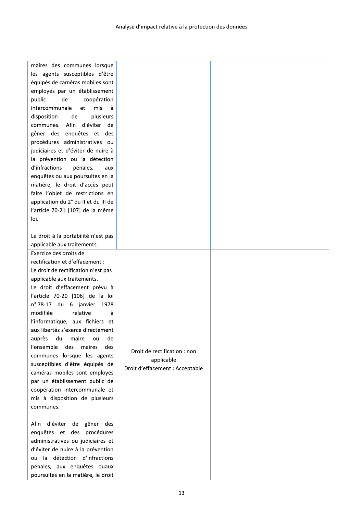| maires des communes lorsque<br>les agents susceptibles d'être<br>équipés de caméras mobiles sont<br>employés par un établissement<br>public<br>de<br>coopération<br>mis<br>intercommunale<br>à<br>et<br>disposition<br>de<br>plusieurs<br>Afin<br>d'éviter de<br>communes.<br>gêner des enquêtes et des<br>procédures administratives ou<br>judiciaires et d'éviter de nuire à<br>la prévention ou la détection<br>d'infractions<br>pénales,<br>aux<br>enquêtes ou aux poursuites en la<br>matière, le droit d'accès peut<br>faire l'objet de restrictions en<br>application du 2° du II et du III de<br>l'article 70-21 [107] de la même<br>loi.<br>Le droit à la portabilité n'est pas |                                                                               |  |
|------------------------------------------------------------------------------------------------------------------------------------------------------------------------------------------------------------------------------------------------------------------------------------------------------------------------------------------------------------------------------------------------------------------------------------------------------------------------------------------------------------------------------------------------------------------------------------------------------------------------------------------------------------------------------------------|-------------------------------------------------------------------------------|--|
| applicable aux traitements.                                                                                                                                                                                                                                                                                                                                                                                                                                                                                                                                                                                                                                                              |                                                                               |  |
| Exercice des droits de<br>rectification et d'effacement :<br>Le droit de rectification n'est pas<br>applicable aux traitements.<br>Le droit d'effacement prévu à<br>l'article 70-20 [106] de la loi<br>n° 78-17 du 6 janvier<br>1978<br>modifiée<br>relative<br>à<br>l'informatique, aux fichiers et<br>aux libertés s'exerce directement<br>auprès du maire<br>de<br>ou<br>l'ensemble<br>des<br>maires<br>des<br>communes lorsque les agents<br>susceptibles d'être équipés de<br>caméras mobiles sont employés<br>par un établissement public de<br>coopération intercommunale et<br>mis à disposition de plusieurs<br>communes.                                                       | Droit de rectification : non<br>applicable<br>Droit d'effacement : Acceptable |  |
| gêner des<br>d'éviter de<br>Afin<br>enquêtes et des<br>procédures<br>administratives ou judiciaires et<br>d'éviter de nuire à la prévention<br>la détection d'infractions<br>ou<br>pénales, aux enquêtes ouaux<br>poursuites en la matière, le droit                                                                                                                                                                                                                                                                                                                                                                                                                                     |                                                                               |  |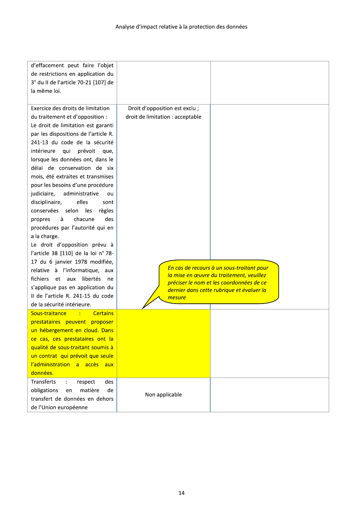| d'effacement peut faire l'objet               |                                  |                                                                                       |
|-----------------------------------------------|----------------------------------|---------------------------------------------------------------------------------------|
| de restrictions en application du             |                                  |                                                                                       |
| 3° du II de l'article 70-21 [107] de          |                                  |                                                                                       |
| la même loi.                                  |                                  |                                                                                       |
|                                               |                                  |                                                                                       |
| Exercice des droits de limitation             | Droit d'opposition est exclu ;   |                                                                                       |
| du traitement et d'opposition :               | droit de limitation : acceptable |                                                                                       |
| Le droit de limitation est garanti            |                                  |                                                                                       |
| par les dispositions de l'article R.          |                                  |                                                                                       |
| 241-13 du code de la sécurité                 |                                  |                                                                                       |
| intérieure<br>qui prévoit<br>que,             |                                  |                                                                                       |
| lorsque les données ont, dans le              |                                  |                                                                                       |
| délai de conservation de six                  |                                  |                                                                                       |
| mois, été extraites et transmises             |                                  |                                                                                       |
| pour les besoins d'une procédure              |                                  |                                                                                       |
| judiciaire,<br>administrative<br>ou           |                                  |                                                                                       |
| disciplinaire,<br>elles<br>sont               |                                  |                                                                                       |
| conservées selon les<br>règles                |                                  |                                                                                       |
| chacune<br>des<br>à<br>propres                |                                  |                                                                                       |
| procédures par l'autorité qui en              |                                  |                                                                                       |
| a la charge.                                  |                                  |                                                                                       |
| Le droit d'opposition prévu à                 |                                  |                                                                                       |
| l'article 38 [110] de la loi n° 78-           |                                  |                                                                                       |
| 17 du 6 janvier 1978 modifiée,                |                                  |                                                                                       |
| relative à l'informatique, aux                |                                  | En cas de recours à un sous-traitant pour                                             |
| fichiers et aux libertés<br>ne                |                                  | la mise en œuvre du traitement, veuillez                                              |
| s'applique pas en application du              |                                  | préciser le nom et les coordonnées de ce<br>dernier dans cette rubrique et évaluer la |
| Il de l'article R. 241-15 du code             | mesure                           |                                                                                       |
| de la sécurité intérieure.                    |                                  |                                                                                       |
| Sous-traitance<br><b>Example 2</b> Certains   |                                  |                                                                                       |
| prestataires peuvent proposer                 |                                  |                                                                                       |
| un hébergement en cloud. Dans                 |                                  |                                                                                       |
| ce cas, ces prestataires ont la               |                                  |                                                                                       |
| qualité de sous-traitant soumis à             |                                  |                                                                                       |
| un contrat qui prévoit que seule              |                                  |                                                                                       |
| l'administration a accès aux                  |                                  |                                                                                       |
| données.                                      |                                  |                                                                                       |
| Transferts<br>$\mathcal{L}$<br>respect<br>des |                                  |                                                                                       |
| obligations<br>matière<br>de<br>en            |                                  |                                                                                       |
| transfert de données en dehors                | Non applicable                   |                                                                                       |
| de l'Union européenne                         |                                  |                                                                                       |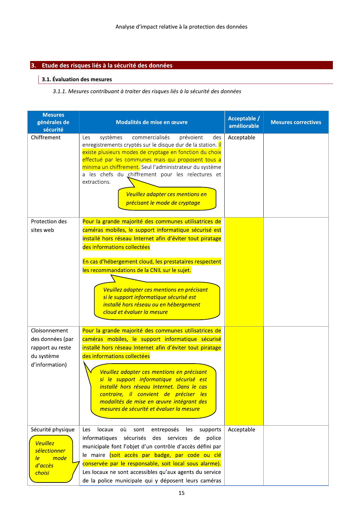#### 3. Etude des risques liés à la sécurité des données

#### $\vert$  3.1. Évaluation des mesures

#### 3.1.1. Mesures contribuant à traiter des risques liés à la sécurité des données

| <b>Mesures</b><br>générales de<br>sécurité | Modalités de mise en œuvre                                                                                                                                                                                                                                                                                                                                                                                                                  | Acceptable /<br>améliorable | <b>Mesures correctives</b> |
|--------------------------------------------|---------------------------------------------------------------------------------------------------------------------------------------------------------------------------------------------------------------------------------------------------------------------------------------------------------------------------------------------------------------------------------------------------------------------------------------------|-----------------------------|----------------------------|
| Chiffrement                                | systèmes<br>commercialisés<br>prévoient<br>Les<br>des<br>enregistrements cryptés sur le disque dur de la station. Il<br>existe plusieurs modes de cryptage en fonction du choix<br>effectué par les communes mais qui proposent tous a<br>minima un chiffrement. Seul l'administrateur du système<br>a les chefs du chiffrement pour les relectures et<br>extractions.<br>Veuillez adapter ces mentions en<br>précisant le mode de cryptage | Acceptable                  |                            |
| Protection des                             | Pour la grande majorité des communes utilisatrices de                                                                                                                                                                                                                                                                                                                                                                                       |                             |                            |
| sites web                                  | caméras mobiles, le support informatique sécurisé est                                                                                                                                                                                                                                                                                                                                                                                       |                             |                            |
|                                            | installé hors réseau Internet afin d'éviter tout piratage<br>des informations collectées                                                                                                                                                                                                                                                                                                                                                    |                             |                            |
|                                            | En cas d'hébergement cloud, les prestataires respectent                                                                                                                                                                                                                                                                                                                                                                                     |                             |                            |
|                                            | les recommandations de la CNIL sur le sujet.                                                                                                                                                                                                                                                                                                                                                                                                |                             |                            |
|                                            |                                                                                                                                                                                                                                                                                                                                                                                                                                             |                             |                            |
|                                            | Veuillez adapter ces mentions en précisant<br>si le support informatique sécurisé est<br>installé hors réseau ou en hébergement<br>cloud et évaluer la mesure                                                                                                                                                                                                                                                                               |                             |                            |
| Cloisonnement                              | Pour la grande majorité des communes utilisatrices de                                                                                                                                                                                                                                                                                                                                                                                       |                             |                            |
| des données (par                           | caméras mobiles, le support informatique sécurisé                                                                                                                                                                                                                                                                                                                                                                                           |                             |                            |
| rapport au reste                           | installé hors réseau Internet afin d'éviter tout piratage                                                                                                                                                                                                                                                                                                                                                                                   |                             |                            |
| du système                                 | des informations collectées                                                                                                                                                                                                                                                                                                                                                                                                                 |                             |                            |
| d'information)                             | Veuillez adapter ces mentions en précisant<br>si le support informatique sécurisé est<br>installé hors réseau Internet. Dans le cas<br>contraire, il convient de préciser les<br>modalités de mise en œuvre intégrant des<br>mesures de sécurité et évaluer la mesure                                                                                                                                                                       |                             |                            |
| Sécurité physique                          | locaux<br>où<br>sont<br>entreposés<br>Les<br>les<br>supports                                                                                                                                                                                                                                                                                                                                                                                | Acceptable                  |                            |
| <b>Veuillez</b>                            | informatiques sécurisés des services de police                                                                                                                                                                                                                                                                                                                                                                                              |                             |                            |
| sélectionner                               | municipale font l'objet d'un contrôle d'accès défini par<br>le maire (soit accès par badge, par code ou clé                                                                                                                                                                                                                                                                                                                                 |                             |                            |
| mode<br>le<br>d'accès                      | conservée par le responsable, soit local sous alarme).                                                                                                                                                                                                                                                                                                                                                                                      |                             |                            |
| choisi                                     | Les locaux ne sont accessibles qu'aux agents du service                                                                                                                                                                                                                                                                                                                                                                                     |                             |                            |
|                                            | de la police municipale qui y déposent leurs caméras                                                                                                                                                                                                                                                                                                                                                                                        |                             |                            |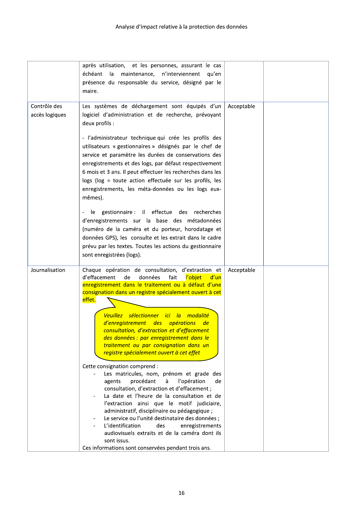|                                | après utilisation, et les personnes, assurant le cas<br>échéant la<br>maintenance, n'interviennent<br>qu'en<br>présence du responsable du service, désigné par le<br>maire.                                                                                                                                                                                                                                                                                                                                                                                                                                                                                                                                                                                                                                                                                                                                                                                                                                                                                                         |            |  |
|--------------------------------|-------------------------------------------------------------------------------------------------------------------------------------------------------------------------------------------------------------------------------------------------------------------------------------------------------------------------------------------------------------------------------------------------------------------------------------------------------------------------------------------------------------------------------------------------------------------------------------------------------------------------------------------------------------------------------------------------------------------------------------------------------------------------------------------------------------------------------------------------------------------------------------------------------------------------------------------------------------------------------------------------------------------------------------------------------------------------------------|------------|--|
| Contrôle des<br>accès logiques | Les systèmes de déchargement sont équipés d'un<br>logiciel d'administration et de recherche, prévoyant<br>deux profils :<br>- l'administrateur technique qui crée les profils des<br>utilisateurs « gestionnaires » désignés par le chef de<br>service et paramètre les durées de conservations des<br>enregistrements et des logs, par défaut respectivement<br>6 mois et 3 ans. Il peut effectuer les recherches dans les<br>logs (log = toute action effectuée sur les profils, les<br>enregistrements, les méta-données ou les logs eux-<br>mêmes).<br>le gestionnaire : il effectue des recherches<br>d'enregistrements sur la base des métadonnées<br>(numéro de la caméra et du porteur, horodatage et<br>données GPS), les consulte et les extrait dans le cadre<br>prévu par les textes. Toutes les actions du gestionnaire<br>sont enregistrées (logs).                                                                                                                                                                                                                   | Acceptable |  |
| Journalisation                 | Chaque opération de consultation, d'extraction et<br>données<br>fait<br>l'objet<br>d'effacement<br>de<br>d'un<br>enregistrement dans le traitement ou à défaut d'une<br>consignation dans un registre spécialement ouvert à cet<br>effet.<br>Veuillez sélectionner ici la<br><i>modalité</i><br>d'enregistrement des opérations<br><u>de</u><br>consultation, d'extraction et d'effacement<br>des données : par enregistrement dans le<br>traitement ou par consignation dans un<br>registre spécialement ouvert à cet effet<br>Cette consignation comprend :<br>Les matricules, nom, prénom et grade des<br>procédant<br>l'opération<br>agents<br>à<br>de<br>consultation, d'extraction et d'effacement ;<br>La date et l'heure de la consultation et de<br>l'extraction ainsi que le motif judiciaire,<br>administratif, disciplinaire ou pédagogique ;<br>Le service ou l'unité destinataire des données ;<br>L'identification<br>des<br>enregistrements<br>audiovisuels extraits et de la caméra dont ils<br>sont issus.<br>Ces informations sont conservées pendant trois ans. | Acceptable |  |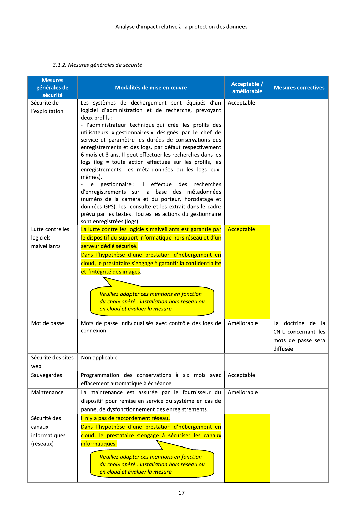#### 3.1.2. Mesures générales de sécurité

| <b>Mesures</b><br>générales de<br>sécurité           | Modalités de mise en œuvre                                                                                                                                                                                                                                                                                                                                                                                                                                                                                                                                                                                                                                                                                                                                                                                                                                           | Acceptable /<br>améliorable | <b>Mesures correctives</b>                                                      |
|------------------------------------------------------|----------------------------------------------------------------------------------------------------------------------------------------------------------------------------------------------------------------------------------------------------------------------------------------------------------------------------------------------------------------------------------------------------------------------------------------------------------------------------------------------------------------------------------------------------------------------------------------------------------------------------------------------------------------------------------------------------------------------------------------------------------------------------------------------------------------------------------------------------------------------|-----------------------------|---------------------------------------------------------------------------------|
| Sécurité de<br>l'exploitation                        | Les systèmes de déchargement sont équipés d'un<br>logiciel d'administration et de recherche, prévoyant<br>deux profils :<br>- l'administrateur technique qui crée les profils des<br>utilisateurs « gestionnaires » désignés par le chef de<br>service et paramètre les durées de conservations des<br>enregistrements et des logs, par défaut respectivement<br>6 mois et 3 ans. Il peut effectuer les recherches dans les<br>logs (log = toute action effectuée sur les profils, les<br>enregistrements, les méta-données ou les logs eux-<br>mêmes).<br>le gestionnaire : il effectue des<br>recherches<br>d'enregistrements sur la base des métadonnées<br>(numéro de la caméra et du porteur, horodatage et<br>données GPS), les consulte et les extrait dans le cadre<br>prévu par les textes. Toutes les actions du gestionnaire<br>sont enregistrées (logs). | Acceptable                  |                                                                                 |
| Lutte contre les<br>logiciels<br>malveillants        | La lutte contre les logiciels malveillants est garantie par<br>le dispositif du support informatique hors réseau et d'un<br>serveur dédié sécurisé.<br>Dans l'hypothèse d'une prestation d'hébergement en<br>cloud, le prestataire s'engage à garantir la confidentialité<br>et l'intégrité des images.<br>Veuillez adapter ces mentions en fonction<br>du choix opéré : installation hors réseau ou<br>en cloud et évaluer la mesure                                                                                                                                                                                                                                                                                                                                                                                                                                | Acceptable                  |                                                                                 |
| Mot de passe                                         | Mots de passe individualisés avec contrôle des logs de<br>connexion                                                                                                                                                                                                                                                                                                                                                                                                                                                                                                                                                                                                                                                                                                                                                                                                  | Améliorable                 | La doctrine de<br>- Ia<br>CNIL concernant les<br>mots de passe sera<br>diffusée |
| Sécurité des sites<br>web                            | Non applicable                                                                                                                                                                                                                                                                                                                                                                                                                                                                                                                                                                                                                                                                                                                                                                                                                                                       |                             |                                                                                 |
| Sauvegardes                                          | Programmation des conservations à six mois avec<br>effacement automatique à échéance                                                                                                                                                                                                                                                                                                                                                                                                                                                                                                                                                                                                                                                                                                                                                                                 | Acceptable                  |                                                                                 |
| Maintenance                                          | La maintenance est assurée par le fournisseur du<br>dispositif pour remise en service du système en cas de<br>panne, de dysfonctionnement des enregistrements.                                                                                                                                                                                                                                                                                                                                                                                                                                                                                                                                                                                                                                                                                                       | Améliorable                 |                                                                                 |
| Sécurité des<br>canaux<br>informatiques<br>(réseaux) | Il n'y a pas de raccordement réseau.<br>Dans l'hypothèse d'une prestation d'hébergement en<br>cloud, le prestataire s'engage à sécuriser les canaux<br>informatiques.<br>Veuillez adapter ces mentions en fonction<br>du choix opéré : installation hors réseau ou<br>en cloud et évaluer la mesure                                                                                                                                                                                                                                                                                                                                                                                                                                                                                                                                                                  |                             |                                                                                 |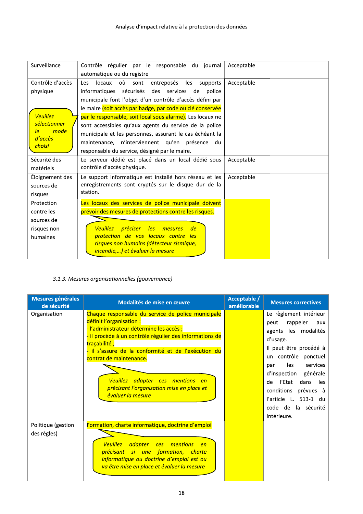| Surveillance      | Contrôle régulier par le responsable du journal                           | Acceptable |
|-------------------|---------------------------------------------------------------------------|------------|
|                   | automatique ou du registre                                                |            |
| Contrôle d'accès  | locaux<br>où<br>entreposés les<br>Les<br>sont<br>supports                 | Acceptable |
| physique          | informatiques sécurisés des services de police                            |            |
|                   | municipale font l'objet d'un contrôle d'accès défini par                  |            |
|                   | le maire (soit accès par badge, par code ou clé conservée                 |            |
| <b>Veuillez</b>   | par le responsable, soit local sous alarme). Les locaux ne                |            |
| sélectionner      | sont accessibles qu'aux agents du service de la police                    |            |
| mode<br>le        | municipale et les personnes, assurant le cas échéant la                   |            |
| d'accès<br>choisi | maintenance, n'interviennent qu'en présence du                            |            |
|                   | responsable du service, désigné par le maire.                             |            |
| Sécurité des      | Le serveur dédié est placé dans un local dédié sous                       | Acceptable |
| matériels         | contrôle d'accès physique.                                                |            |
| Éloignement des   | Le support informatique est installé hors réseau et les                   | Acceptable |
| sources de        | enregistrements sont cryptés sur le disque dur de la                      |            |
| risques           | station.                                                                  |            |
| Protection        | Les locaux des services de police municipale doivent                      |            |
| contre les        | prévoir des mesures de protections contre les risques.                    |            |
| sources de        |                                                                           |            |
| risques non       | <u>préciser </u><br><b>les</b><br><b>Veuillez</b><br>de<br><i>mesures</i> |            |
| humaines          | protection de vos locaux contre les                                       |            |
|                   | risques non humains (détecteur sismique,                                  |            |
|                   | incendie,) et évaluer la mesure                                           |            |

#### 3.1.3. Mesures organisationnelles (gouvernance)

| Mesures générales<br>de sécurité  | Modalités de mise en œuvre                                                                                                                                                                                                                                                                                                                                                                   | Acceptable /<br>améliorable | <b>Mesures correctives</b>                                                                                                                                                                                                                                                                                       |
|-----------------------------------|----------------------------------------------------------------------------------------------------------------------------------------------------------------------------------------------------------------------------------------------------------------------------------------------------------------------------------------------------------------------------------------------|-----------------------------|------------------------------------------------------------------------------------------------------------------------------------------------------------------------------------------------------------------------------------------------------------------------------------------------------------------|
| Organisation                      | Chaque responsable du service de police municipale<br>définit l'organisation :<br>- l'administrateur détermine les accès;<br>- il procède à un contrôle régulier des informations de<br>traçabilité;<br>- il s'assure de la conformité et de l'exécution du<br>contrat de maintenance.<br>Veuillez adapter ces mentions en<br>précisant l'organisation mise en place et<br>évaluer la mesure |                             | Le règlement intérieur<br>rappeler<br>peut<br>aux<br>agents les modalités<br>d'usage.<br>Il peut être procédé à<br>un contrôle ponctuel<br>les<br>services<br>par<br>d'inspection générale<br>l'Etat<br>dans<br>les<br>de<br>conditions prévues à<br>l'article L. 513-1 du<br>code de la sécurité<br>intérieure. |
| Politique (gestion<br>des règles) | Formation, charte informatique, doctrine d'emploi<br>Veuillez adapter ces mentions<br>en<br>précisant si une formation, charte<br>informatique ou doctrine d'emploi est ou<br>va être mise en place et évaluer la mesure                                                                                                                                                                     |                             |                                                                                                                                                                                                                                                                                                                  |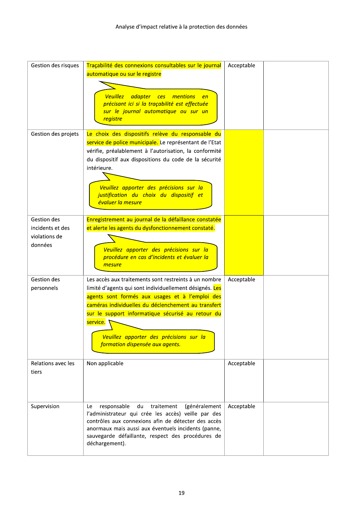| Gestion des risques                              | Traçabilité des connexions consultables sur le journal<br>automatique ou sur le registre                                                                                                                                                                                                                                                                                  | Acceptable |  |
|--------------------------------------------------|---------------------------------------------------------------------------------------------------------------------------------------------------------------------------------------------------------------------------------------------------------------------------------------------------------------------------------------------------------------------------|------------|--|
|                                                  | <b>Veuillez</b><br>adapter ces mentions<br>en<br>précisant ici si la traçabilité est effectuée<br>sur le journal automatique ou sur un<br><b>registre</b>                                                                                                                                                                                                                 |            |  |
| Gestion des projets                              | Le choix des dispositifs relève du responsable du<br>service de police municipale. Le représentant de l'Etat<br>vérifie, préalablement à l'autorisation, la conformité<br>du dispositif aux dispositions du code de la sécurité<br>intérieure.<br>Veuillez apporter des précisions sur la<br>justification du choix du dispositif et<br>évaluer la mesure                 |            |  |
| Gestion des<br>incidents et des<br>violations de | Enregistrement au journal de la défaillance constatée<br>et alerte les agents du dysfonctionnement constaté.                                                                                                                                                                                                                                                              |            |  |
| données                                          | Veuillez apporter des précisions sur la<br>procédure en cas d'incidents et évaluer la<br>mesure                                                                                                                                                                                                                                                                           |            |  |
| Gestion des<br>personnels                        | Les accès aux traitements sont restreints à un nombre<br>limité d'agents qui sont individuellement désignés. Les<br>agents sont formés aux usages et à l'emploi des<br>caméras individuelles du déclenchement au transfert<br>sur le support informatique sécurisé au retour du<br>service.<br>Veuillez apporter des précisions sur la<br>formation dispensée aux agents. | Acceptable |  |
| Relations avec les<br>tiers                      | Non applicable                                                                                                                                                                                                                                                                                                                                                            | Acceptable |  |
| Supervision                                      | traitement<br>Le<br>responsable<br>du<br>(généralement<br>l'administrateur qui crée les accès) veille par des<br>contrôles aux connexions afin de détecter des accès<br>anormaux mais aussi aux éventuels incidents (panne,<br>sauvegarde défaillante, respect des procédures de<br>déchargement).                                                                        | Acceptable |  |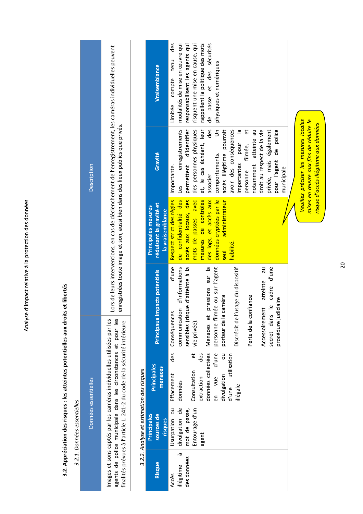# 3.2. Appréciation des risques : les atteintes potentielles aux droits et libertés

|                             | Description          | Lors de leurs interventions, en cas de déclenchement de l'enregistrement, les caméras individuelles peuvent<br>enregistrées toute image et son, aussi bien dans des lieux publics que privés.                      |
|-----------------------------|----------------------|--------------------------------------------------------------------------------------------------------------------------------------------------------------------------------------------------------------------|
| 3.2.1. Données essentielles | Données essentielles | agents de police municipale dans les circonstances et pour les<br>mages et sons captés par les caméras individuelles utilisées par les<br>finalités prévues à l'article L. 241-2 du code de la sécurité intérieure |

# J,  $\overline{a}$  $\ddot{\phantom{a}}$ l, "ע ני

|                                          | Vraisemblance                                                             | Limitée compte tenu des      | modalités de mise en œuvre qui                                        | responsabilisent les agents qui               | risquent une mise en cause, qui             | rappellent la politique des mots              | de passe et des sécurités       | physiques et numériques          |                              |                        |                                    |                       |                       |                            |                               |                        |            |  |
|------------------------------------------|---------------------------------------------------------------------------|------------------------------|-----------------------------------------------------------------------|-----------------------------------------------|---------------------------------------------|-----------------------------------------------|---------------------------------|----------------------------------|------------------------------|------------------------|------------------------------------|-----------------------|-----------------------|----------------------------|-------------------------------|------------------------|------------|--|
|                                          | Gravité                                                                   | Importante.                  | enregistrements                                                       | accès aux locaux, des permettent d'identifier | mots de passes avec des personnes physiques | mesures de contrôles et, le cas échéant, leur | $\frac{d}{d}$<br>associer       | $\overline{5}$<br>comportements. | accès illégitime pourrait    | avoir des conséquences | importantes pour la                | ಕ<br>personne filmée, | notamment atteinte au | droit au respect de la vie | privée, mais également        | pour l'agent de police | municipale |  |
|                                          | réduisant la gravité et<br><b>Principales mesures</b><br>la vraisemblance | Respect strict des règles    |                                                                       |                                               |                                             |                                               | des logs, et accès aux          | données cryptées par le          | administrateur<br>seul       | habilité.              |                                    |                       |                       |                            |                               |                        |            |  |
|                                          | Principaux impacts potentiels                                             | d'une<br>Conséquences        | communication d'informations <mark>de confidentialité des l</mark> es | sensibles (risque d'atteinte à la             | vie privée).                                |                                               | pressions sur la                | personne filmée ou sur l'agent   | porteur de la caméra         |                        | Discrédit de l'usage du dispositif | Perte de la confiance |                       | Accessoirement atteinte au | le cadre d'une<br>secret dans | procédure judiciaire   |            |  |
|                                          | Principales<br>menaces                                                    | $\frac{d}{ds}$<br>Effacement | données                                                               |                                               | et                                          | des<br>extraction                             | données collectées   Menaces et | en vue d'une                     | $\frac{1}{5}$<br>divulgation | d'une utilisation      | illégale                           |                       |                       |                            |                               |                        |            |  |
| 3.2.2. Analyse et estimation des risques | Principales<br>sources de<br>risques                                      | Usurpation ou                | divulgation de                                                        | mot de passe,                                 | Entourage d'un   Consultation               | agent                                         |                                 |                                  |                              |                        |                                    |                       |                       |                            |                               |                        |            |  |
|                                          | Risque                                                                    | Accès                        | à<br>illégitime                                                       | des données                                   |                                             |                                               |                                 |                                  |                              |                        |                                    |                       |                       |                            |                               |                        |            |  |

Veuillez préciser les mesures locales mises en œuvre aux fins de réduire le risque d'accès illégitime aux données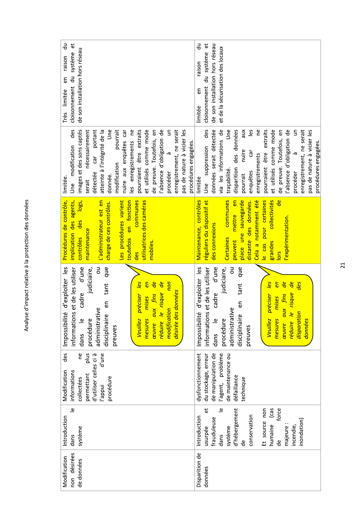| cloisonnement du système et<br>ਰ<br>ਹ<br>de son installation hors réseau<br>raison<br>en<br>Très limitée                                                                                                                                                                                                                                                                                                                                                                                                                 | 긍<br>ΰ<br>de son installation hors réseau<br>et de la sécurisation des locaux<br>cloisonnement du système<br>raison<br>ε<br>limitée                                                                                                                                                                                                                                                                                                                         |
|--------------------------------------------------------------------------------------------------------------------------------------------------------------------------------------------------------------------------------------------------------------------------------------------------------------------------------------------------------------------------------------------------------------------------------------------------------------------------------------------------------------------------|-------------------------------------------------------------------------------------------------------------------------------------------------------------------------------------------------------------------------------------------------------------------------------------------------------------------------------------------------------------------------------------------------------------------------------------------------------------|
| images et des sons captés<br>portant<br>Jne<br>pourrait<br>pourraient être extraits<br>et utilisés comme mode<br>absence d'obligation de<br>$\epsilon$<br>des<br>nécessairement<br>eq<br>enregistrement, ne serait<br>atteinte à l'intégrité de la<br>car<br>θIJ<br>pas de nature à vicier les<br>es enregistrements<br>de preuve. Toutefois,<br>nuire aux enquêtes<br>procédures engagées.<br>Une modification<br>-ত<br>$\overline{\text{car}}$<br>modification<br>détectée<br>procéder<br>donnée.<br>limitée<br>serait | données serait détectée<br>des<br>via les informations de<br>Les<br>ρe<br>et utilisés comme mode<br>absence d'obligation de<br>Jne<br>disparition des données<br>XIN<br>extraits<br>de preuve. Toutefois, en<br>$\Xi$<br>enregistrement, ne serait<br>pas de nature à vicier les<br>procédures engagées.<br>suppression<br>nuire<br>Car<br>être<br>à<br>enregistrements<br>pourraient<br>traçabilité.<br>enquêtes<br>procéder<br>pourrait<br>limitée<br>Une |
| utilisatrices des caméras<br>communes<br>implication des agents,<br>L'administrateur est en<br>Les procédures varient<br>toutefois en fonction<br>logs,<br>Procédures de contrôle,<br>charge de ces contrôles.<br>des<br>maintenance<br>contrôles<br>mobiles<br><b>des</b>                                                                                                                                                                                                                                               | <mark>e</mark><br>Maintenance, contrôles<br>communes<br>pour certaines<br>collectivités<br>réguliers du dispositif et<br>mettre en<br>Cela a notamment été<br>place une sauvegarde<br>distante des données.<br>expérimentation.<br>des connexions<br><b>Certaines</b><br>peuvent<br>grandes<br>le cas<br>lors                                                                                                                                               |
| d'exploiter les<br>et de les utiliser<br>que<br>d'une<br>ō<br>judiciaire,<br>non<br>les<br>de<br>réduire le risque de<br><b>en</b><br>tant<br>désirée des données<br>aux fins<br>cadre<br>préciser<br>mises<br>5g<br>administrative<br>modification<br>nformations<br>Impossibilité<br>disciplinaire<br>procédure<br>$\overline{\bullet}$<br><b>Veuillez</b><br>mesures<br>œuvre<br>preuves<br>dans                                                                                                                      | d'exploiter les<br>et de les utiliser<br>d'une<br>judiciaire,<br>ō<br>que<br>les<br>en<br>de<br>de<br>des<br>tant<br>cadre<br>risque<br>ceuvre aux fins<br>préciser<br>mises<br>θŨ<br>administrative<br>disparation<br>informations<br>Impossibilité<br>réduire le<br>disciplinaire<br>procédure<br>dans le<br>données<br>mesures<br><b>Veuillez</b><br>preuves                                                                                             |
| des<br>d'une<br>eq<br>allg<br>d'utiliser celles ci à<br>informations<br>Modification<br>permettant<br>procédure<br>collectées<br>l'appui                                                                                                                                                                                                                                                                                                                                                                                 | dysfonctionnement<br>de manipulation de<br>l'agent, problème<br>du stockage, erreur<br>de maintenance ou<br>défaillance<br>technique                                                                                                                                                                                                                                                                                                                        |
| $\overline{\mathbb{Q}}$<br>Introduction<br>système<br>dans                                                                                                                                                                                                                                                                                                                                                                                                                                                               | $\overline{\bullet}$<br>đ<br>d'hébergement<br>(cas<br>Et source non<br>force<br>conservation<br>Introduction<br>frauduleuse<br>inondation)<br>humaine<br>incendie,<br>majeure<br>système<br>usurpée<br>dans<br>Ъe<br>Ъe                                                                                                                                                                                                                                     |
| non désirées<br>Modification<br>de données                                                                                                                                                                                                                                                                                                                                                                                                                                                                               | Disparition de<br>données                                                                                                                                                                                                                                                                                                                                                                                                                                   |

Analyse d'impact relative à la protection des données

### $21$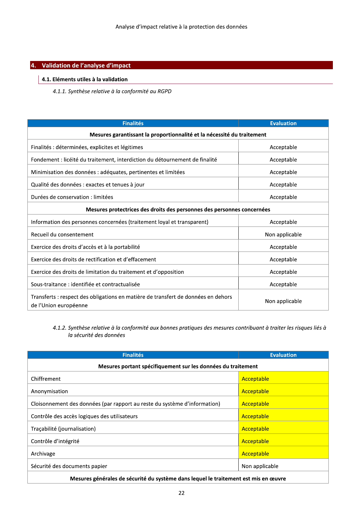| Analyse d'impact relative à la protection des données                                                      |                   |
|------------------------------------------------------------------------------------------------------------|-------------------|
| Validation de l'analyse d'impact                                                                           |                   |
| 4.1. Eléments utiles à la validation                                                                       |                   |
| 4.1.1. Synthèse relative à la conformité au RGPD                                                           |                   |
|                                                                                                            |                   |
| <b>Finalités</b>                                                                                           | <b>Evaluation</b> |
| Mesures garantissant la proportionnalité et la nécessité du traitement                                     |                   |
| Finalités : déterminées, explicites et légitimes                                                           | Acceptable        |
| Fondement : licéité du traitement, interdiction du détournement de finalité                                | Acceptable        |
| Minimisation des données : adéquates, pertinentes et limitées                                              | Acceptable        |
| Qualité des données : exactes et tenues à jour                                                             | Acceptable        |
| Durées de conservation : limitées                                                                          | Acceptable        |
| Mesures protectrices des droits des personnes des personnes concernées                                     |                   |
| Information des personnes concernées (traitement loyal et transparent)                                     | Acceptable        |
| Recueil du consentement                                                                                    | Non applicable    |
| Exercice des droits d'accès et à la portabilité                                                            | Acceptable        |
| Exercice des droits de rectification et d'effacement                                                       | Acceptable        |
| Exercice des droits de limitation du traitement et d'opposition                                            | Acceptable        |
| Sous-traitance : identifiée et contractualisée                                                             | Acceptable        |
| Transferts : respect des obligations en matière de transfert de données en dehors<br>de l'Union européenne | Non applicable    |

4.1.2. Synthèse relative à la conformité aux bonnes pratiques des mesures contribuant à traiter les risques liés à la sécurité des données

| <b>Finalités</b>                                                                    | <b>Evaluation</b> |  |  |
|-------------------------------------------------------------------------------------|-------------------|--|--|
| Mesures portant spécifiquement sur les données du traitement                        |                   |  |  |
| Chiffrement                                                                         | Acceptable        |  |  |
| Anonymisation                                                                       | Acceptable        |  |  |
| Cloisonnement des données (par rapport au reste du système d'information)           | Acceptable        |  |  |
| Contrôle des accès logiques des utilisateurs                                        | Acceptable        |  |  |
| Tracabilité (journalisation)                                                        | Acceptable        |  |  |
| Contrôle d'intégrité                                                                | Acceptable        |  |  |
| Archivage                                                                           | Acceptable        |  |  |
| Sécurité des documents papier                                                       | Non applicable    |  |  |
| Mesures générales de sécurité du système dans lequel le traitement est mis en œuvre |                   |  |  |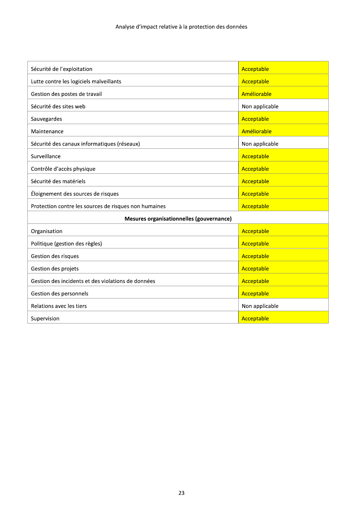| Sécurité de l'exploitation                            | Acceptable     |
|-------------------------------------------------------|----------------|
| Lutte contre les logiciels malveillants               | Acceptable     |
| Gestion des postes de travail                         | Améliorable    |
| Sécurité des sites web                                | Non applicable |
| Sauvegardes                                           | Acceptable     |
| Maintenance                                           | Améliorable    |
| Sécurité des canaux informatiques (réseaux)           | Non applicable |
| Surveillance                                          | Acceptable     |
| Contrôle d'accès physique                             | Acceptable     |
| Sécurité des matériels                                | Acceptable     |
| Éloignement des sources de risques                    | Acceptable     |
| Protection contre les sources de risques non humaines | Acceptable     |
| Mesures organisationnelles (gouvernance)              |                |
| Organisation                                          | Acceptable     |
| Politique (gestion des règles)                        | Acceptable     |
| Gestion des risques                                   | Acceptable     |
| Gestion des projets                                   | Acceptable     |
| Gestion des incidents et des violations de données    | Acceptable     |
| Gestion des personnels                                | Acceptable     |
| Relations avec les tiers                              | Non applicable |
| Supervision                                           | Acceptable     |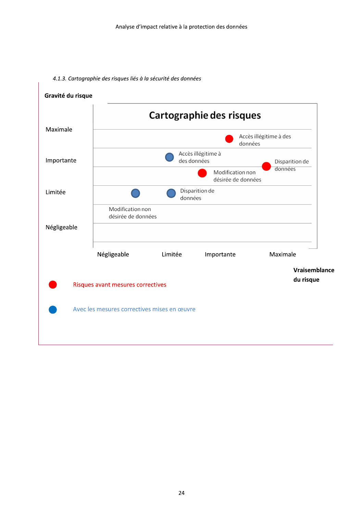

#### 4.1.3. Cartographie des risques liés à la sécurité des données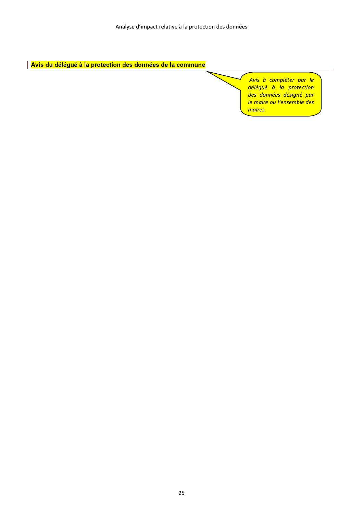Avis du délégué à la protection des données de la commune

Avis à compléter par le délégué à la protection des données désigné par le maire ou l'ensemble des maires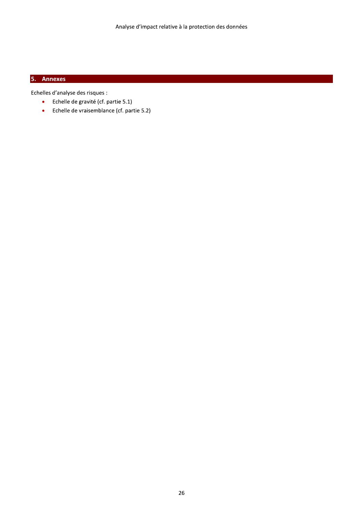#### 5. Annexes

Echelles d'analyse des risques :

- Echelle de gravité (cf. partie 5.1)  $\bullet$
- $\bullet$ Echelle de vraisemblance (cf. partie 5.2)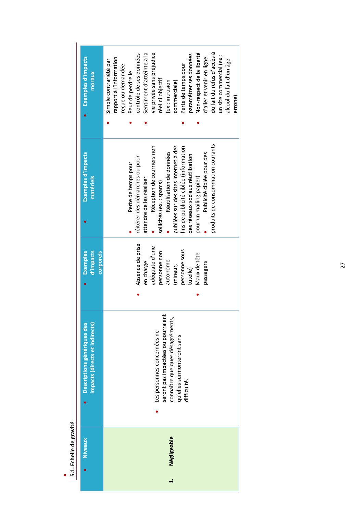| Exemples d'impacts<br>moraux                                  | du fait du refus d'accès à<br>Non-respect de la liberté<br>vie privée sans préjudice<br>Sentiment d'atteinte à la<br>contrôle de ses données<br>paramétrer ses données<br>un site commercial (ex :<br>rapport à l'information<br>d'aller et venir en ligne<br>alcool du fait d'un âge<br>Simple contrariété par<br>Perte de temps pour<br>reçue ou demandée<br>Peur de perdre le<br>réel ni objectif<br>commerciale)<br>(ex: intrusion<br>erroné) |
|---------------------------------------------------------------|---------------------------------------------------------------------------------------------------------------------------------------------------------------------------------------------------------------------------------------------------------------------------------------------------------------------------------------------------------------------------------------------------------------------------------------------------|
| Exemples d'impacts<br>matériels                               | produits de consommation courants<br>Réception de courriers non<br>publiées sur des sites Internet à des<br>fins de publicité ciblée (information<br>Réutilisation de données<br>Publicité ciblée pour des<br>des réseaux sociaux réutilisation<br>réitérer des démarches ou pour<br>Perte de temps pour<br>pour un mailing papier)<br>attendre de les réaliser<br>sollicités (ex.: spams)                                                        |
| d'impacts<br><b>corporels</b><br><b>Exemples</b>              | Absence de prise<br>adéquate d'une<br>personne sous<br>personne non<br>Maux de tête<br>autonome<br>en charge<br>passagers<br>(mineur,<br>tutelle)                                                                                                                                                                                                                                                                                                 |
| impacts (directs et indirects)<br>Descriptions génériques des | seront pas impactées ou pourraient<br>connaître quelques désagréments,<br>Les personnes concernées ne<br>qu'elles surmonteront sans<br>difficulté.                                                                                                                                                                                                                                                                                                |
| <b>Niveaux</b>                                                | Négligeable<br>$\ddot{ }$                                                                                                                                                                                                                                                                                                                                                                                                                         |

# **.**<br>| 5.1. Echelle de gravité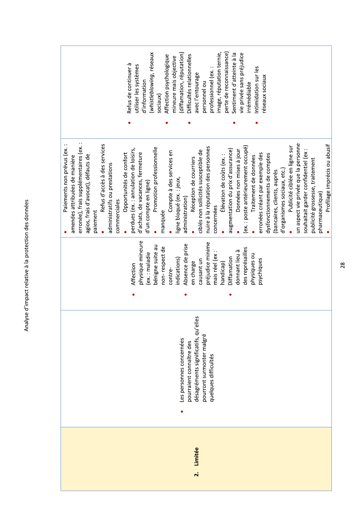| í<br>֞<br>֧֪֝֝ <b>֧</b> |
|-------------------------|
| こくて くくこ<br>こくすいこ        |
| l                       |
| .<br>.<br>.             |
|                         |
| :<br>:                  |

|                                                                                                                                                                                                                                        | (whistleblowing, réseaux<br>diffamation, réputation)<br>Affection psychologique<br>mineure mais objective<br>Refus de continuer à<br>utiliser les systèmes<br>d'information<br>sociaux)                                        | mage, réputation ternie,<br>perte de reconnaissance)<br>Sentiment d'atteinte à la<br>Difficultés relationnelles<br>professionnel (ex.:<br>avec l'entourage<br>personnel ou                               | vie privée sans préjudice<br>ntimidation sur les<br>éseaux sociaux<br>rrémédiable                                                                                                                                          |                                                                                                                                                                                                   |
|----------------------------------------------------------------------------------------------------------------------------------------------------------------------------------------------------------------------------------------|--------------------------------------------------------------------------------------------------------------------------------------------------------------------------------------------------------------------------------|----------------------------------------------------------------------------------------------------------------------------------------------------------------------------------------------------------|----------------------------------------------------------------------------------------------------------------------------------------------------------------------------------------------------------------------------|---------------------------------------------------------------------------------------------------------------------------------------------------------------------------------------------------|
|                                                                                                                                                                                                                                        |                                                                                                                                                                                                                                |                                                                                                                                                                                                          |                                                                                                                                                                                                                            |                                                                                                                                                                                                   |
| erronée), frais supplémentaires (ex.:<br>Refus d'accès à des services<br>Paiements non prévus (ex.<br>agios, frais d'avocat), défauts de<br>amendes attribuées de manière<br>administratifs ou prestations<br>commerciales<br>paiement | Promotion professionnelle<br>perdues (ex. : annulation de loisirs,<br>Compte à des services en<br>d'achats, de vacances, fermeture<br>Opportunités de confort<br>ligne bloqué (ex. : jeux,<br>d'un compte en ligne)<br>manquée | nuire à la réputation des personnes<br>augmentation du prix d'assurance)<br>ciblés non sollicités susceptible de<br>Élévation de coûts (ex. :<br>Réception de courriers<br>administration)<br>concernées | (ex. : poste antérieurement occupé)<br>Données non mises à jour<br>erronées créant par exemple des<br>dysfonctionnements de comptes<br>Traitement de données<br>d'organismes sociaux, etc.)<br>(bancaires, clients, auprès | un aspect vie privée que la personne<br>Profilage imprécis ou abusif<br>Publicité ciblée en ligne sur<br>souhaitait garder confidentiel (ex<br>publicité grossesse, traitement<br>pharmaceutique) |
|                                                                                                                                                                                                                                        | physique mineure<br>bénigne suite au<br>non-respect de<br>ex.: maladie<br>indications)<br>Affection<br>contre-                                                                                                                 | préjudice minime<br>Absence de prise<br>mais réel (ex<br>Diffamation<br>causant un<br>en charge<br>handicap)                                                                                             | des représailles<br>donnant lieu à<br>physiques ou<br>psychiques                                                                                                                                                           |                                                                                                                                                                                                   |
|                                                                                                                                                                                                                                        | Les personnes concernées                                                                                                                                                                                                       | ΘS<br>désagréments significatifs, qu'ell<br>pourront surmonter malgré<br>pourraient connaître des<br>quelques difficultés                                                                                |                                                                                                                                                                                                                            |                                                                                                                                                                                                   |
|                                                                                                                                                                                                                                        |                                                                                                                                                                                                                                | Limitée<br>$\ddot{\sim}$                                                                                                                                                                                 |                                                                                                                                                                                                                            |                                                                                                                                                                                                   |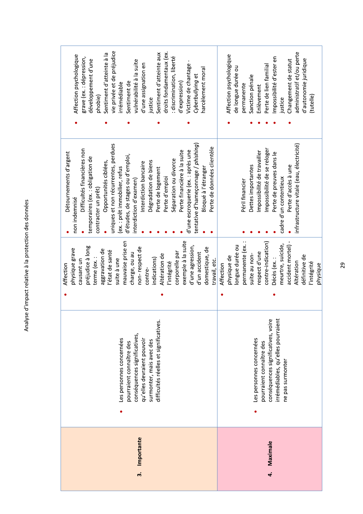T

Analyse d'impact relative à la protection des données

I

29